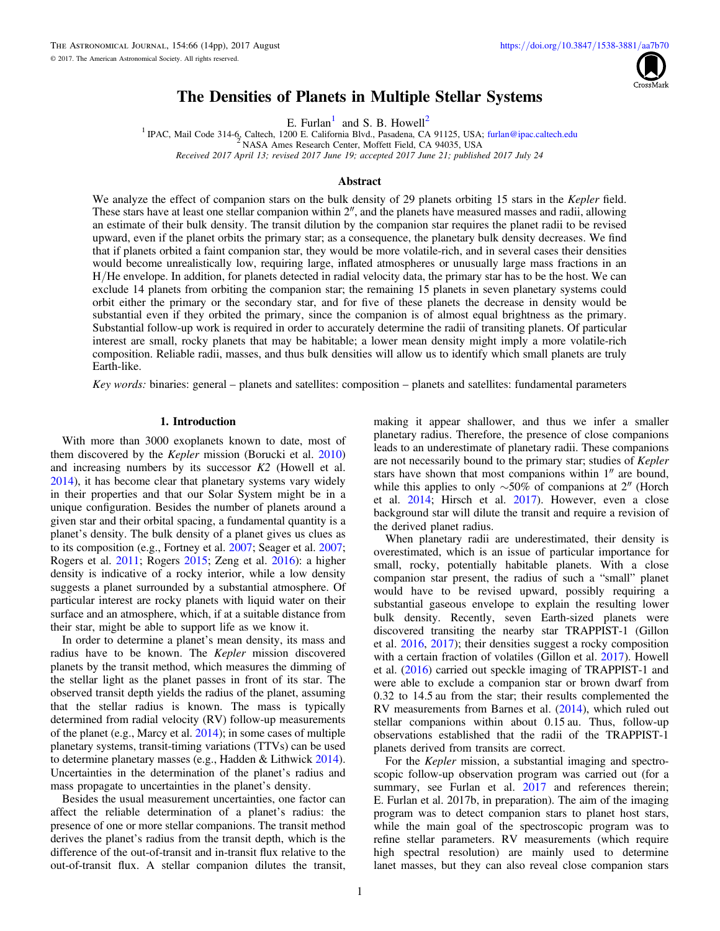

# The Densities of Planets in Multiple Stellar Systems

E. Furl[an](https://orcid.org/0000-0001-9800-6248)<sup>1</sup> and S. B. How[ell](https://orcid.org/0000-0002-2532-2853)<sup>2</sup>

<sup>1</sup> IPAC, Mail Code 314-6, Caltech, 1200 E. Califo[rn](https://orcid.org/0000-0001-9800-6248)ia Blvd., Pasadena, CA 91125, USA; [furlan@ipac.caltech.edu](mailto:furlan@ipac.caltech.edu) <sup>2</sup> NASA Ames Research Center, Moffett Field, CA 94035, USA Received 2017 April 13; revised 2017 June 19; accepted 2017 June 21; published 2017 July 24

#### **Abstract**

We analyze the effect of companion stars on the bulk density of 29 planets orbiting 15 stars in the Kepler field. These stars have at least one stellar companion within 2″, and the planets have measured masses and radii, allowing an estimate of their bulk density. The transit dilution by the companion star requires the planet radii to be revised upward, even if the planet orbits the primary star; as a consequence, the planetary bulk density decreases. We find that if planets orbited a faint companion star, they would be more volatile-rich, and in several cases their densities would become unrealistically low, requiring large, inflated atmospheres or unusually large mass fractions in an H/He envelope. In addition, for planets detected in radial velocity data, the primary star has to be the host. We can exclude 14 planets from orbiting the companion star; the remaining 15 planets in seven planetary systems could orbit either the primary or the secondary star, and for five of these planets the decrease in density would be substantial even if they orbited the primary, since the companion is of almost equal brightness as the primary. Substantial follow-up work is required in order to accurately determine the radii of transiting planets. Of particular interest are small, rocky planets that may be habitable; a lower mean density might imply a more volatile-rich composition. Reliable radii, masses, and thus bulk densities will allow us to identify which small planets are truly Earth-like.

Key words: binaries: general – planets and satellites: composition – planets and satellites: fundamental parameters

#### 1. Introduction

With more than 3000 exoplanets known to date, most of them discovered by the Kepler mission (Borucki et al. [2010](#page-12-0)) and increasing numbers by its successor K2 (Howell et al. [2014](#page-13-0)), it has become clear that planetary systems vary widely in their properties and that our Solar System might be in a unique configuration. Besides the number of planets around a given star and their orbital spacing, a fundamental quantity is a planet's density. The bulk density of a planet gives us clues as to its composition (e.g., Fortney et al. [2007;](#page-12-0) Seager et al. [2007](#page-13-0); Rogers et al. [2011;](#page-13-0) Rogers [2015;](#page-13-0) Zeng et al. [2016](#page-13-0)): a higher density is indicative of a rocky interior, while a low density suggests a planet surrounded by a substantial atmosphere. Of particular interest are rocky planets with liquid water on their surface and an atmosphere, which, if at a suitable distance from their star, might be able to support life as we know it.

In order to determine a planet's mean density, its mass and radius have to be known. The Kepler mission discovered planets by the transit method, which measures the dimming of the stellar light as the planet passes in front of its star. The observed transit depth yields the radius of the planet, assuming that the stellar radius is known. The mass is typically determined from radial velocity (RV) follow-up measurements of the planet (e.g., Marcy et al. [2014](#page-13-0)); in some cases of multiple planetary systems, transit-timing variations (TTVs) can be used to determine planetary masses (e.g., Hadden & Lithwick [2014](#page-13-0)). Uncertainties in the determination of the planet's radius and mass propagate to uncertainties in the planet's density.

Besides the usual measurement uncertainties, one factor can affect the reliable determination of a planet's radius: the presence of one or more stellar companions. The transit method derives the planet's radius from the transit depth, which is the difference of the out-of-transit and in-transit flux relative to the out-of-transit flux. A stellar companion dilutes the transit,

making it appear shallower, and thus we infer a smaller planetary radius. Therefore, the presence of close companions leads to an underestimate of planetary radii. These companions are not necessarily bound to the primary star; studies of Kepler stars have shown that most companions within 1″ are bound, while this applies to only ∼50% of companions at 2″ (Horch et al. [2014;](#page-13-0) Hirsch et al. [2017](#page-13-0)). However, even a close background star will dilute the transit and require a revision of the derived planet radius.

When planetary radii are underestimated, their density is overestimated, which is an issue of particular importance for small, rocky, potentially habitable planets. With a close companion star present, the radius of such a "small" planet would have to be revised upward, possibly requiring a substantial gaseous envelope to explain the resulting lower bulk density. Recently, seven Earth-sized planets were discovered transiting the nearby star TRAPPIST-1 (Gillon et al. [2016,](#page-13-0) [2017](#page-13-0)); their densities suggest a rocky composition with a certain fraction of volatiles (Gillon et al. [2017](#page-13-0)). Howell et al. ([2016](#page-13-0)) carried out speckle imaging of TRAPPIST-1 and were able to exclude a companion star or brown dwarf from 0.32 to 14.5 au from the star; their results complemented the RV measurements from Barnes et al. ([2014](#page-12-0)), which ruled out stellar companions within about 0.15 au. Thus, follow-up observations established that the radii of the TRAPPIST-1 planets derived from transits are correct.

For the Kepler mission, a substantial imaging and spectroscopic follow-up observation program was carried out (for a summary, see Furlan et al. [2017](#page-12-0) and references therein; E. Furlan et al. 2017b, in preparation). The aim of the imaging program was to detect companion stars to planet host stars, while the main goal of the spectroscopic program was to refine stellar parameters. RV measurements (which require high spectral resolution) are mainly used to determine lanet masses, but they can also reveal close companion stars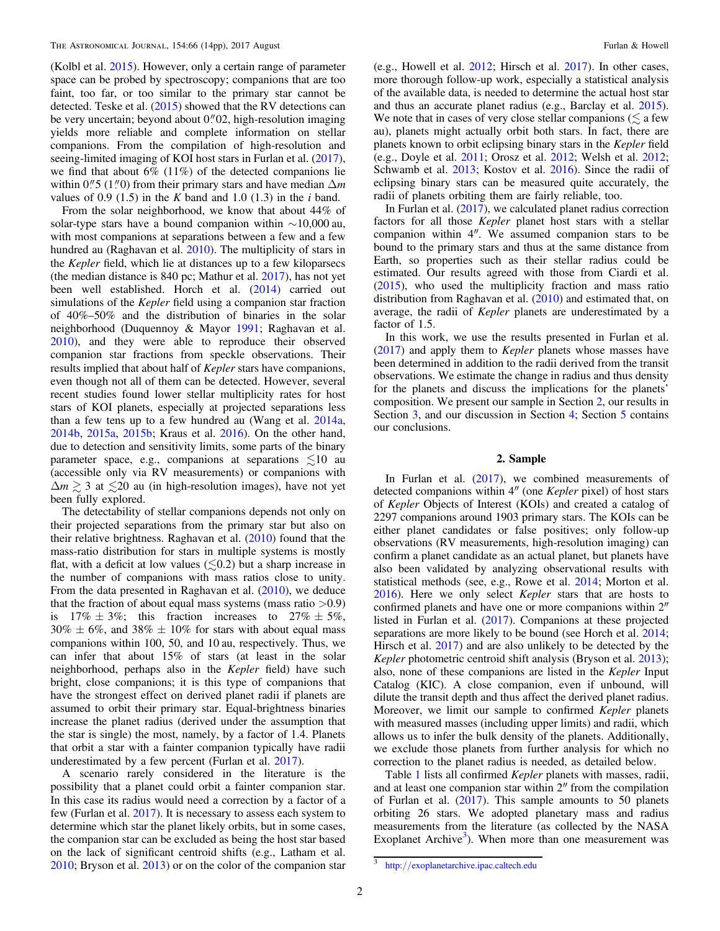<span id="page-1-0"></span>(Kolbl et al. [2015](#page-13-0)). However, only a certain range of parameter space can be probed by spectroscopy; companions that are too faint, too far, or too similar to the primary star cannot be detected. Teske et al. ([2015](#page-13-0)) showed that the RV detections can be very uncertain; beyond about  $0$ .  $02$ , high-resolution imaging yields more reliable and complete information on stellar companions. From the compilation of high-resolution and seeing-limited imaging of KOI host stars in Furlan et al. ([2017](#page-12-0)), we find that about  $6\%$  (11%) of the detected companions lie within  $0\rlap.{''}5(1\rlap.{''}0)$  from their primary stars and have median  $\Delta m$ values of 0.9 (1.5) in the K band and 1.0 (1.3) in the  $i$  band.

From the solar neighborhood, we know that about 44% of solar-type stars have a bound companion within  $\sim$ 10,000 au, with most companions at separations between a few and a few hundred au (Raghavan et al. [2010](#page-13-0)). The multiplicity of stars in the Kepler field, which lie at distances up to a few kiloparsecs (the median distance is 840 pc; Mathur et al. [2017](#page-13-0)), has not yet been well established. Horch et al. ([2014](#page-13-0)) carried out simulations of the *Kepler* field using a companion star fraction of 40%–50% and the distribution of binaries in the solar neighborhood (Duquennoy & Mayor [1991;](#page-12-0) Raghavan et al. [2010](#page-13-0)), and they were able to reproduce their observed companion star fractions from speckle observations. Their results implied that about half of Kepler stars have companions, even though not all of them can be detected. However, several recent studies found lower stellar multiplicity rates for host stars of KOI planets, especially at projected separations less than a few tens up to a few hundred au (Wang et al. [2014a,](#page-13-0) [2014b,](#page-13-0) [2015a](#page-13-0), [2015b](#page-13-0); Kraus et al. [2016](#page-13-0)). On the other hand, due to detection and sensitivity limits, some parts of the binary parameter space, e.g., companions at separations  $\leq 10$  au (accessible only via RV measurements) or companions with  $\Delta m \geq 3$  at  $\leq 20$  au (in high-resolution images), have not yet been fully explored.

The detectability of stellar companions depends not only on their projected separations from the primary star but also on their relative brightness. Raghavan et al. ([2010](#page-13-0)) found that the mass-ratio distribution for stars in multiple systems is mostly flat, with a deficit at low values  $(\leq 0.2)$  but a sharp increase in the number of companions with mass ratios close to unity. From the data presented in Raghavan et al. ([2010](#page-13-0)), we deduce that the fraction of about equal mass systems (mass ratio  $>0.9$ ) is  $17\% \pm 3\%;$  this fraction increases to  $27\% \pm 5\%;$  $30\% \pm 6\%$ , and  $38\% \pm 10\%$  for stars with about equal mass companions within 100, 50, and 10 au, respectively. Thus, we can infer that about 15% of stars (at least in the solar neighborhood, perhaps also in the Kepler field) have such bright, close companions; it is this type of companions that have the strongest effect on derived planet radii if planets are assumed to orbit their primary star. Equal-brightness binaries increase the planet radius (derived under the assumption that the star is single) the most, namely, by a factor of 1.4. Planets that orbit a star with a fainter companion typically have radii underestimated by a few percent (Furlan et al. [2017](#page-12-0)).

A scenario rarely considered in the literature is the possibility that a planet could orbit a fainter companion star. In this case its radius would need a correction by a factor of a few (Furlan et al. [2017](#page-12-0)). It is necessary to assess each system to determine which star the planet likely orbits, but in some cases, the companion star can be excluded as being the host star based on the lack of significant centroid shifts (e.g., Latham et al. [2010;](#page-13-0) Bryson et al. [2013](#page-12-0)) or on the color of the companion star

(e.g., Howell et al. [2012](#page-13-0); Hirsch et al. [2017](#page-13-0)). In other cases, more thorough follow-up work, especially a statistical analysis of the available data, is needed to determine the actual host star and thus an accurate planet radius (e.g., Barclay et al. [2015](#page-12-0)). We note that in cases of very close stellar companions ( $\lesssim$  a few au), planets might actually orbit both stars. In fact, there are planets known to orbit eclipsing binary stars in the Kepler field (e.g., Doyle et al. [2011](#page-12-0); Orosz et al. [2012](#page-13-0); Welsh et al. [2012](#page-13-0); Schwamb et al. [2013;](#page-13-0) Kostov et al. [2016](#page-13-0)). Since the radii of eclipsing binary stars can be measured quite accurately, the radii of planets orbiting them are fairly reliable, too.

In Furlan et al. ([2017](#page-12-0)), we calculated planet radius correction factors for all those Kepler planet host stars with a stellar companion within 4″. We assumed companion stars to be bound to the primary stars and thus at the same distance from Earth, so properties such as their stellar radius could be estimated. Our results agreed with those from Ciardi et al. ([2015](#page-12-0)), who used the multiplicity fraction and mass ratio distribution from Raghavan et al. ([2010](#page-13-0)) and estimated that, on average, the radii of Kepler planets are underestimated by a factor of 1.5.

In this work, we use the results presented in Furlan et al. ([2017](#page-12-0)) and apply them to Kepler planets whose masses have been determined in addition to the radii derived from the transit observations. We estimate the change in radius and thus density for the planets and discuss the implications for the planets' composition. We present our sample in Section 2, our results in Section [3,](#page-4-0) and our discussion in Section [4;](#page-8-0) Section [5](#page-9-0) contains our conclusions.

#### 2. Sample

In Furlan et al.  $(2017)$  $(2017)$  $(2017)$ , we combined measurements of detected companions within 4″ (one Kepler pixel) of host stars of Kepler Objects of Interest (KOIs) and created a catalog of 2297 companions around 1903 primary stars. The KOIs can be either planet candidates or false positives; only follow-up observations (RV measurements, high-resolution imaging) can confirm a planet candidate as an actual planet, but planets have also been validated by analyzing observational results with statistical methods (see, e.g., Rowe et al. [2014;](#page-13-0) Morton et al. [2016](#page-13-0)). Here we only select Kepler stars that are hosts to confirmed planets and have one or more companions within 2″ listed in Furlan et al. ([2017](#page-12-0)). Companions at these projected separations are more likely to be bound (see Horch et al. [2014](#page-13-0); Hirsch et al. [2017](#page-13-0)) and are also unlikely to be detected by the Kepler photometric centroid shift analysis (Bryson et al. [2013](#page-12-0)); also, none of these companions are listed in the Kepler Input Catalog (KIC). A close companion, even if unbound, will dilute the transit depth and thus affect the derived planet radius. Moreover, we limit our sample to confirmed Kepler planets with measured masses (including upper limits) and radii, which allows us to infer the bulk density of the planets. Additionally, we exclude those planets from further analysis for which no correction to the planet radius is needed, as detailed below.

Table [1](#page-2-0) lists all confirmed Kepler planets with masses, radii, and at least one companion star within 2″ from the compilation of Furlan et al. ([2017](#page-12-0)). This sample amounts to 50 planets orbiting 26 stars. We adopted planetary mass and radius measurements from the literature (as collected by the NASA Exoplanet Archive<sup>3</sup>). When more than one measurement was

<sup>3</sup> http://[exoplanetarchive.ipac.caltech.edu](http://exoplanetarchive.ipac.caltech.edu)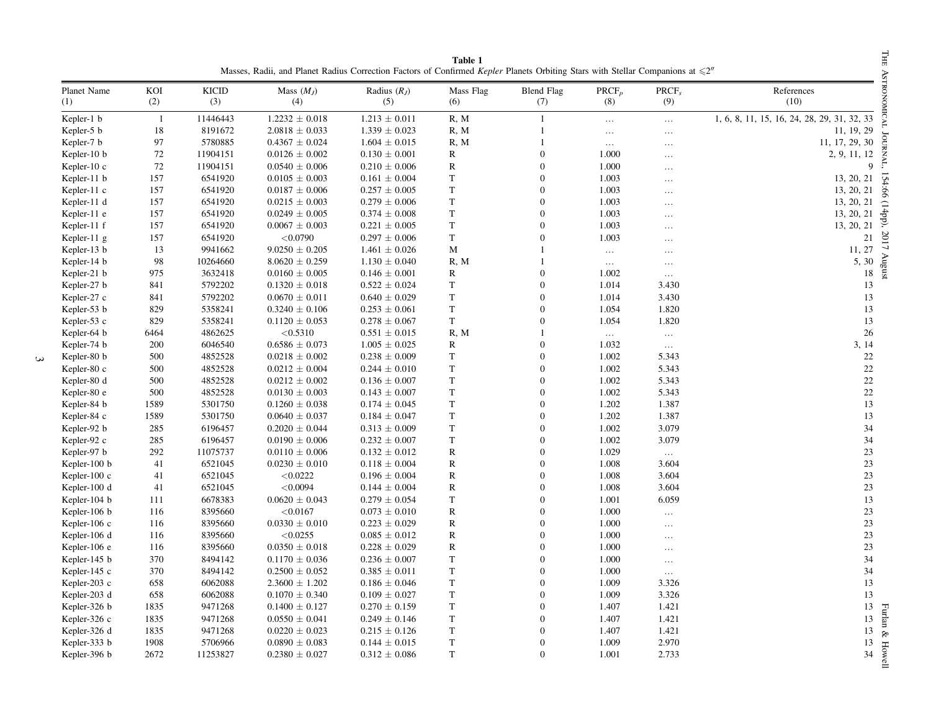<span id="page-2-0"></span>

| Table 1<br>Masses, Radii, and Planet Radius Correction Factors of Confirmed Kepler Planets Orbiting Stars with Stellar Companions at $\leq 2^n$ |              |              |                     |                       |                  |                          |                 |                          |                                             |
|-------------------------------------------------------------------------------------------------------------------------------------------------|--------------|--------------|---------------------|-----------------------|------------------|--------------------------|-----------------|--------------------------|---------------------------------------------|
| Planet Name<br>(1)                                                                                                                              | KOI<br>(2)   | KICID<br>(3) | Mass $(M_J)$<br>(4) | Radius $(R_I)$<br>(5) | Mass Flag<br>(6) | <b>Blend Flag</b><br>(7) | $PRCF_p$<br>(8) | PRCF <sub>s</sub><br>(9) | References<br>(10)                          |
| Kepler-1 b                                                                                                                                      | $\mathbf{1}$ | 11446443     | $1.2232 \pm 0.018$  | $1.213 \pm 0.011$     | R, M             | $\mathbf{1}$             | $\ldots$        | $\ldots$                 | 1, 6, 8, 11, 15, 16, 24, 28, 29, 31, 32, 33 |
| Kepler-5 b                                                                                                                                      | 18           | 8191672      | $2.0818 \pm 0.033$  | $1.339 \pm 0.023$     | R, M             | $\mathbf{1}$             | $\ldots$        | $\ldots$                 | 11, 19, 29                                  |
| Kepler-7 b                                                                                                                                      | 97           | 5780885      | $0.4367 \pm 0.024$  | $1.604 \pm 0.015$     | R, M             | $\mathbf{1}$             | $\ldots$        | .                        | 11, 17, 29, 30                              |
| Kepler-10 b                                                                                                                                     | 72           | 11904151     | $0.0126 \pm 0.002$  | $0.130 \pm 0.001$     | R                | $\mathbf{0}$             | 1.000           | $\cdots$                 | 2, 9, 11, 12                                |
| Kepler-10 c                                                                                                                                     | 72           | 11904151     | $0.0540 \pm 0.006$  | $0.210 \pm 0.006$     | $\mathbb{R}$     | $\boldsymbol{0}$         | 1.000           | $\cdots$                 | 9                                           |
| Kepler-11 b                                                                                                                                     | 157          | 6541920      | $0.0105 \pm 0.003$  | $0.161 \pm 0.004$     | T                | $\overline{0}$           | 1.003           | $\ldots$                 | 13, 20, 21                                  |
| Kepler-11 c                                                                                                                                     | 157          | 6541920      | $0.0187 \pm 0.006$  | $0.257 \pm 0.005$     | $\mathbf T$      | $\theta$                 | 1.003           | $\cdots$                 | 13, 20, 21                                  |
| Kepler-11 d                                                                                                                                     | 157          | 6541920      | $0.0215 \pm 0.003$  | $0.279 \pm 0.006$     | T                | $\theta$                 | 1.003           | $\cdots$                 | 13, 20, 21<br>$\supset$                     |
| Kepler-11 e                                                                                                                                     | 157          | 6541920      | $0.0249 \pm 0.005$  | $0.374 \pm 0.008$     | T                | $\theta$                 | 1.003           | $\cdots$                 | +pp),<br>13, 20, 21                         |
| Kepler-11 f                                                                                                                                     | 157          | 6541920      | $0.0067 \pm 0.003$  | $0.221 \pm 0.005$     | T                | $\theta$                 | 1.003           | .                        | 13, 20, 21                                  |
| Kepler-11 g                                                                                                                                     | 157          | 6541920      | < 0.0790            | $0.297 \pm 0.006$     | $\mathbf T$      | $\theta$                 | 1.003           | $\cdots$                 | 21                                          |
| Kepler-13 b                                                                                                                                     | 13           | 9941662      | $9.0250 \pm 0.205$  | $1.461 \pm 0.026$     | М                |                          | $\ldots$        | $\ldots$                 | 11, 27                                      |
| Kepler-14 b                                                                                                                                     | 98           | 10264660     | $8.0620 \pm 0.259$  | $1.130 \pm 0.040$     | R, M             | 1                        | $\ldots$        | $\cdots$                 | 5, 30                                       |
| Kepler-21 b                                                                                                                                     | 975          | 3632418      | $0.0160 \pm 0.005$  | $0.146 \pm 0.001$     | $\mathbb{R}$     | $\boldsymbol{0}$         | 1.002           | $\ldots$                 | 18                                          |
| Kepler-27 b                                                                                                                                     | 841          | 5792202      | $0.1320 \pm 0.018$  | $0.522 \pm 0.024$     | T                | $\overline{0}$           | 1.014           | 3.430                    | 13                                          |
| Kepler-27 c                                                                                                                                     | 841          | 5792202      | $0.0670 \pm 0.011$  | $0.640 \pm 0.029$     | T.               | $\overline{0}$           | 1.014           | 3.430                    | 13                                          |
| Kepler-53 b                                                                                                                                     | 829          | 5358241      | $0.3240 \pm 0.106$  | $0.253 \pm 0.061$     | T                | $\overline{0}$           | 1.054           | 1.820                    | 13                                          |
| Kepler-53 c                                                                                                                                     | 829          | 5358241      | $0.1120 \pm 0.053$  | $0.278 \pm 0.067$     | T                | $\boldsymbol{0}$         | 1.054           | 1.820                    | 13                                          |
| Kepler-64 b                                                                                                                                     | 6464         | 4862625      | < 0.5310            | $0.551 \pm 0.015$     | R, M             |                          | $\cdots$        | $\ldots$                 | 26                                          |
| Kepler-74 b                                                                                                                                     | 200          | 6046540      | $0.6586 \pm 0.073$  | $1.005 \pm 0.025$     | R                | $\boldsymbol{0}$         | 1.032           | $\dots$                  | 3, 14                                       |
| Kepler-80 b                                                                                                                                     | 500          | 4852528      | $0.0218 \pm 0.002$  | $0.238 \pm 0.009$     | T                | $\overline{0}$           | 1.002           | 5.343                    | 22                                          |
| Kepler-80 c                                                                                                                                     | 500          | 4852528      | $0.0212 \pm 0.004$  | $0.244 \pm 0.010$     | $\mathbf T$      | $\overline{0}$           | 1.002           | 5.343                    | 22                                          |
| Kepler-80 d                                                                                                                                     | 500          | 4852528      | $0.0212 \pm 0.002$  | $0.136 \pm 0.007$     | T                | $\theta$                 | 1.002           | 5.343                    | 22                                          |
| Kepler-80 e                                                                                                                                     | 500          | 4852528      | $0.0130 \pm 0.003$  | $0.143 \pm 0.007$     | T                | $\theta$                 | 1.002           | 5.343                    | 22                                          |
| Kepler-84 b                                                                                                                                     | 1589         | 5301750      | $0.1260 \pm 0.038$  | $0.174 \pm 0.045$     | $\mathbf T$      | $\theta$                 | 1.202           | 1.387                    | 13                                          |
| Kepler-84 c                                                                                                                                     | 1589         | 5301750      | $0.0640 \pm 0.037$  | $0.184 \pm 0.047$     | T                | $\overline{0}$           | 1.202           | 1.387                    | 13                                          |
| Kepler-92 b                                                                                                                                     | 285          | 6196457      | $0.2020 \pm 0.044$  | $0.313 \pm 0.009$     | $\mathbf T$      | $\theta$                 | 1.002           | 3.079                    | 34                                          |
| Kepler-92 c                                                                                                                                     | 285          | 6196457      | $0.0190 \pm 0.006$  | $0.232 \pm 0.007$     | T                | $\overline{0}$           | 1.002           | 3.079                    | 34                                          |
| Kepler-97 b                                                                                                                                     | 292          | 11075737     | $0.0110 \pm 0.006$  | $0.132 \pm 0.012$     | $\mathbb{R}$     | $\overline{0}$           | 1.029           | $\ldots$                 | 23                                          |
| Kepler-100 b                                                                                                                                    | 41           | 6521045      | $0.0230 \pm 0.010$  | $0.118 \pm 0.004$     | $\mathbb{R}$     | $\theta$                 | 1.008           | 3.604                    | 23                                          |
| Kepler- $100c$                                                                                                                                  | 41           | 6521045      | < 0.0222            | $0.196 \pm 0.004$     | R                | $\overline{0}$           | 1.008           | 3.604                    | 23                                          |
| Kepler-100 d                                                                                                                                    | 41           | 6521045      | < 0.0094            | $0.144 \pm 0.004$     | R                | $\theta$                 | 1.008           | 3.604                    | 23                                          |
| Kepler-104 b                                                                                                                                    | 111          | 6678383      | $0.0620 \pm 0.043$  | $0.279 \pm 0.054$     | T                | $\overline{0}$           | 1.001           | 6.059                    | 13                                          |
| Kepler-106 b                                                                                                                                    | 116          | 8395660      | < 0.0167            | $0.073 \pm 0.010$     | $\mathbb{R}$     | $\overline{0}$           | 1.000           | $\ldots$                 | 23                                          |
| Kepler-106 c                                                                                                                                    | 116          | 8395660      | $0.0330 \pm 0.010$  | $0.223 \pm 0.029$     | R                | $\overline{0}$           | 1.000           | $\ldots$                 | 23                                          |
| Kepler-106 d                                                                                                                                    | 116          | 8395660      | < 0.0255            | $0.085 \pm 0.012$     | $\mathbb{R}$     | $\theta$                 | 1.000           | $\ldots$                 | 23                                          |
| Kepler-106 e                                                                                                                                    | 116          | 8395660      | $0.0350 \pm 0.018$  | $0.228 \pm 0.029$     | R                | $\theta$                 | 1.000           | $\ldots$                 | 23                                          |
| Kepler-145 b                                                                                                                                    | 370          | 8494142      | $0.1170 \pm 0.036$  | $0.236 \pm 0.007$     | $\mathbf T$      | $\Omega$                 | 1.000           | $\ldots$                 | 34                                          |
| Kepler-145 c                                                                                                                                    | 370          | 8494142      | $0.2500 \pm 0.052$  | $0.385 \pm 0.011$     | T                | $\theta$                 | 1.000           | $\ldots$                 | 34                                          |
| Kepler-203 c                                                                                                                                    | 658          | 6062088      | $2.3600 \pm 1.202$  | $0.186 \pm 0.046$     | T                | $\theta$                 | 1.009           | 3.326                    | 13                                          |
| Kepler-203 d                                                                                                                                    | 658          | 6062088      | $0.1070 \pm 0.340$  | $0.109 \pm 0.027$     | $\mathbf T$      | $\theta$                 | 1.009           | 3.326                    | 13                                          |
| Kepler-326 b                                                                                                                                    | 1835         | 9471268      | $0.1400 \pm 0.127$  | $0.270 \pm 0.159$     | T                | $\theta$                 | 1.407           | 1.421                    | 13                                          |
| Kepler-326 c                                                                                                                                    | 1835         | 9471268      | $0.0550 \pm 0.041$  | $0.249 \pm 0.146$     | $\mathbf T$      | $\theta$                 | 1.407           | 1.421                    | Furlan<br>13                                |
| Kepler-326 d                                                                                                                                    | 1835         | 9471268      | $0.0220 \pm 0.023$  | $0.215 \pm 0.126$     | T                | $\theta$                 | 1.407           | 1.421                    | 13<br>$\mathscr{E}$                         |
| Kepler-333 b                                                                                                                                    | 1908         | 5706966      | $0.0890 \pm 0.083$  | $0.144 \pm 0.015$     | $\mathbf T$      | $\theta$                 | 1.009           | 2.970                    | 13<br>$\mathbb{H}$                          |
| Kepler-396 b                                                                                                                                    | 2672         | 11253827     | $0.2380 \pm 0.027$  | $0.312 \pm 0.086$     | T                | $\Omega$                 | 1.001           | 2.733                    | χō<br>34                                    |

 $\mathbf{\hat{z}}$ 

Furlan $\&$  Howell Furlan & Howell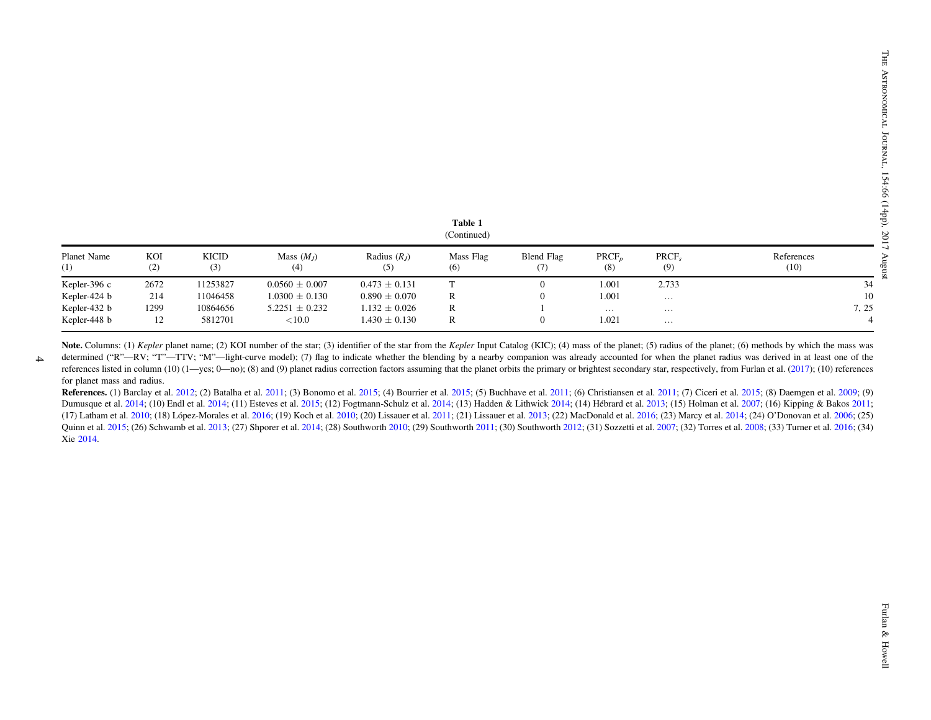| ravit r<br>(Continued) |            |              |                     |                      |                  |                   |                 |              |                    |  |
|------------------------|------------|--------------|---------------------|----------------------|------------------|-------------------|-----------------|--------------|--------------------|--|
| Planet Name<br>(1)     | KOI<br>(2) | KICID<br>(3) | Mass $(M_I)$<br>(4) | Radius $(RI)$<br>(5) | Mass Flag<br>(6) | Blend Flag<br>(7) | $PRCF_n$<br>(8) | PRCF,<br>(9) | References<br>(10) |  |
| Kepler-396 c           | 2672       | 11253827     | $0.0560 \pm 0.007$  | $0.473 \pm 0.131$    |                  | $\overline{0}$    | 1.001           | 2.733        | 34                 |  |
| Kepler-424 b           | 214        | 11046458     | $1.0300 \pm 0.130$  | $0.890 \pm 0.070$    | R                | 0                 | 1.001           | $\cdots$     | 10                 |  |
| Kepler-432 b           | 1299       | 10864656     | $5.2251 \pm 0.232$  | $1.132 \pm 0.026$    | R                |                   | $\cdots$        | $\cdots$     | 7, 25              |  |
| Kepler-448 b           | 12         | 5812701      | ${<}10.0$           | $1.430 \pm 0.130$    | R                | $\overline{0}$    | 1.021           | $\cdots$     |                    |  |

**Note.** Columns: (1) Kepler planet name; (2) KOI number of the star; (3) identifier of the star from the Kepler Input Catalog (KIC); (4) mass of the planet; (5) radius of the planet; (6) methods by which the mass was determined ("R"—RV; "T"—TTV; "M"—light-curve model); (7) flag to indicate whether the blending by a nearby companion was already accounted for when the planet radius was derived in at least one of the

 $\rightarrow$ 

references listed in column (10) (1—yes; 0—no); (8) and (9) planet radius correction factors assuming that the planet orbits the primary or brightest secondary star, respectively, from Furlan et al. ([2017](#page-12-0)); (10) reference for planet mass and radius.

References. (1) Barclay et al. [2012](#page-12-0); (2) Batalha et al. [2011](#page-12-0); (3) Bonomo et al. [2015](#page-12-0); (4) Bourrier et al. 2015; (5) Buchhave et al. 2011; (6) Christiansen et al. 2011; (7) Ciceri et al. 2015; (8) Daemgen et al. [2009](#page-12-0); (9) Dumusque et al. [2014](#page-13-0); (10) Endl et al. 2014; (11) Esteves et al. [2015](#page-12-0); (12) Fogtmann-Schulz et al. 2014; (13) Hadden & Lithwick 2014; (14) Hébrard et al. [2013](#page-13-0); (15) Holman et al. [2007](#page-13-0); (16) Kipping & Bakos [2011](#page-13-0); (17) Latham et al. [2010](#page-13-0); (18) López-Morales et al. [2016](#page-13-0); (19) Koch et al. 2010; (20) Lissauer et al. [2011](#page-13-0); (21) Lissauer et al. [2013](#page-13-0); (22) MacDonald et al. 2016; (23) Marcy et al. [2014](#page-13-0); (24) O'Donovan et al. [2006](#page-13-0); (25) Quinn et al. [2015](#page-13-0); (26) Schwamb et al. [2013](#page-13-0); (27) Shporer et al. [2014](#page-13-0); (28) Southworth [2010](#page-13-0); (29) Southworth [2011](#page-13-0); (30) Southworth [2012](#page-13-0); (31) Sozzetti et al. [2007](#page-13-0); (32) Torres et al. [2008](#page-13-0); (33) Turner et al. [2016](#page-13-0); (34) Xie [2014](#page-13-0).

Table 1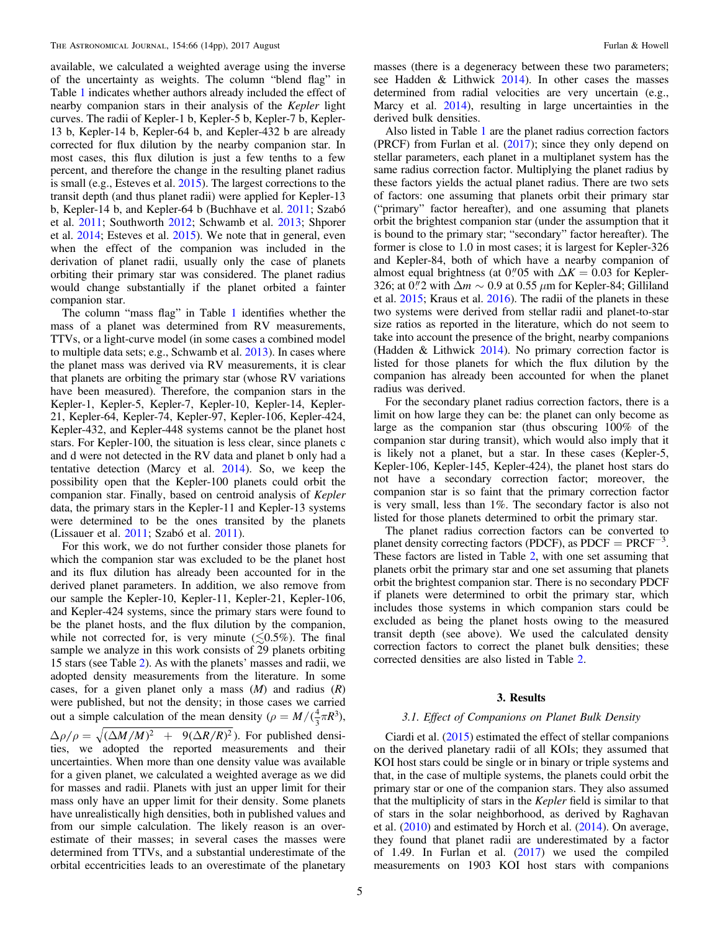<span id="page-4-0"></span>available, we calculated a weighted average using the inverse of the uncertainty as weights. The column "blend flag" in Table [1](#page-2-0) indicates whether authors already included the effect of nearby companion stars in their analysis of the Kepler light curves. The radii of Kepler-1 b, Kepler-5 b, Kepler-7 b, Kepler-13 b, Kepler-14 b, Kepler-64 b, and Kepler-432 b are already corrected for flux dilution by the nearby companion star. In most cases, this flux dilution is just a few tenths to a few percent, and therefore the change in the resulting planet radius is small (e.g., Esteves et al. [2015](#page-12-0)). The largest corrections to the transit depth (and thus planet radii) were applied for Kepler-13 b, Kepler-14 b, and Kepler-64 b (Buchhave et al. [2011](#page-12-0); Szabó et al. [2011;](#page-13-0) Southworth [2012](#page-13-0); Schwamb et al. [2013](#page-13-0); Shporer et al. [2014](#page-13-0); Esteves et al. [2015](#page-12-0)). We note that in general, even when the effect of the companion was included in the derivation of planet radii, usually only the case of planets orbiting their primary star was considered. The planet radius would change substantially if the planet orbited a fainter companion star.

The column "mass flag" in Table [1](#page-2-0) identifies whether the mass of a planet was determined from RV measurements, TTVs, or a light-curve model (in some cases a combined model to multiple data sets; e.g., Schwamb et al. [2013](#page-13-0)). In cases where the planet mass was derived via RV measurements, it is clear that planets are orbiting the primary star (whose RV variations have been measured). Therefore, the companion stars in the Kepler-1, Kepler-5, Kepler-7, Kepler-10, Kepler-14, Kepler-21, Kepler-64, Kepler-74, Kepler-97, Kepler-106, Kepler-424, Kepler-432, and Kepler-448 systems cannot be the planet host stars. For Kepler-100, the situation is less clear, since planets c and d were not detected in the RV data and planet b only had a tentative detection (Marcy et al. [2014](#page-13-0)). So, we keep the possibility open that the Kepler-100 planets could orbit the companion star. Finally, based on centroid analysis of Kepler data, the primary stars in the Kepler-11 and Kepler-13 systems were determined to be the ones transited by the planets (Lissauer et al. [2011;](#page-13-0) Szabó et al. [2011](#page-13-0)).

For this work, we do not further consider those planets for which the companion star was excluded to be the planet host and its flux dilution has already been accounted for in the derived planet parameters. In addition, we also remove from our sample the Kepler-10, Kepler-11, Kepler-21, Kepler-106, and Kepler-424 systems, since the primary stars were found to be the planet hosts, and the flux dilution by the companion, while not corrected for, is very minute  $(\leq 0.5\%)$ . The final sample we analyze in this work consists of 29 planets orbiting 15 stars (see Table [2](#page-5-0)). As with the planets' masses and radii, we adopted density measurements from the literature. In some cases, for a given planet only a mass  $(M)$  and radius  $(R)$ were published, but not the density; in those cases we carried out a simple calculation of the mean density ( $\rho = M/(\frac{4}{3}\pi R^3)$ ,  $\Delta \rho / \rho = \sqrt{(\Delta M / M)^2}$  + 9( $\Delta R / R$ )<sup>2</sup>). For published densities, we adopted the reported measurements and their uncertainties. When more than one density value was available for a given planet, we calculated a weighted average as we did for masses and radii. Planets with just an upper limit for their

mass only have an upper limit for their density. Some planets have unrealistically high densities, both in published values and from our simple calculation. The likely reason is an overestimate of their masses; in several cases the masses were determined from TTVs, and a substantial underestimate of the orbital eccentricities leads to an overestimate of the planetary

masses (there is a degeneracy between these two parameters; see Hadden & Lithwick  $2014$ ). In other cases the masses determined from radial velocities are very uncertain (e.g., Marcy et al. [2014](#page-13-0)), resulting in large uncertainties in the derived bulk densities.

Also listed in Table [1](#page-2-0) are the planet radius correction factors (PRCF) from Furlan et al. ([2017](#page-12-0)); since they only depend on stellar parameters, each planet in a multiplanet system has the same radius correction factor. Multiplying the planet radius by these factors yields the actual planet radius. There are two sets of factors: one assuming that planets orbit their primary star ("primary" factor hereafter), and one assuming that planets orbit the brightest companion star (under the assumption that it is bound to the primary star; "secondary" factor hereafter). The former is close to 1.0 in most cases; it is largest for Kepler-326 and Kepler-84, both of which have a nearby companion of almost equal brightness (at 0.05 with  $\Delta K = 0.03$  for Kepler-326; at 0.<sup>"</sup>/2 with  $\Delta m \sim 0.9$  at 0.55  $\mu$ m for Kepler-84; Gilliland et al. [2015](#page-13-0); Kraus et al. [2016](#page-13-0)). The radii of the planets in these two systems were derived from stellar radii and planet-to-star size ratios as reported in the literature, which do not seem to take into account the presence of the bright, nearby companions (Hadden & Lithwick  $2014$ ). No primary correction factor is listed for those planets for which the flux dilution by the companion has already been accounted for when the planet radius was derived.

For the secondary planet radius correction factors, there is a limit on how large they can be: the planet can only become as large as the companion star (thus obscuring 100% of the companion star during transit), which would also imply that it is likely not a planet, but a star. In these cases (Kepler-5, Kepler-106, Kepler-145, Kepler-424), the planet host stars do not have a secondary correction factor; moreover, the companion star is so faint that the primary correction factor is very small, less than 1%. The secondary factor is also not listed for those planets determined to orbit the primary star.

The planet radius correction factors can be converted to planet density correcting factors (PDCF), as  $PDCF = PRCF^{-3}$ . These factors are listed in Table [2,](#page-5-0) with one set assuming that planets orbit the primary star and one set assuming that planets orbit the brightest companion star. There is no secondary PDCF if planets were determined to orbit the primary star, which includes those systems in which companion stars could be excluded as being the planet hosts owing to the measured transit depth (see above). We used the calculated density correction factors to correct the planet bulk densities; these corrected densities are also listed in Table [2](#page-5-0).

# 3. Results

# 3.1. Effect of Companions on Planet Bulk Density

Ciardi et al. ([2015](#page-12-0)) estimated the effect of stellar companions on the derived planetary radii of all KOIs; they assumed that KOI host stars could be single or in binary or triple systems and that, in the case of multiple systems, the planets could orbit the primary star or one of the companion stars. They also assumed that the multiplicity of stars in the Kepler field is similar to that of stars in the solar neighborhood, as derived by Raghavan et al. ([2010](#page-13-0)) and estimated by Horch et al. ([2014](#page-13-0)). On average, they found that planet radii are underestimated by a factor of 1.49. In Furlan et al.  $(2017)$  $(2017)$  $(2017)$  we used the compiled measurements on 1903 KOI host stars with companions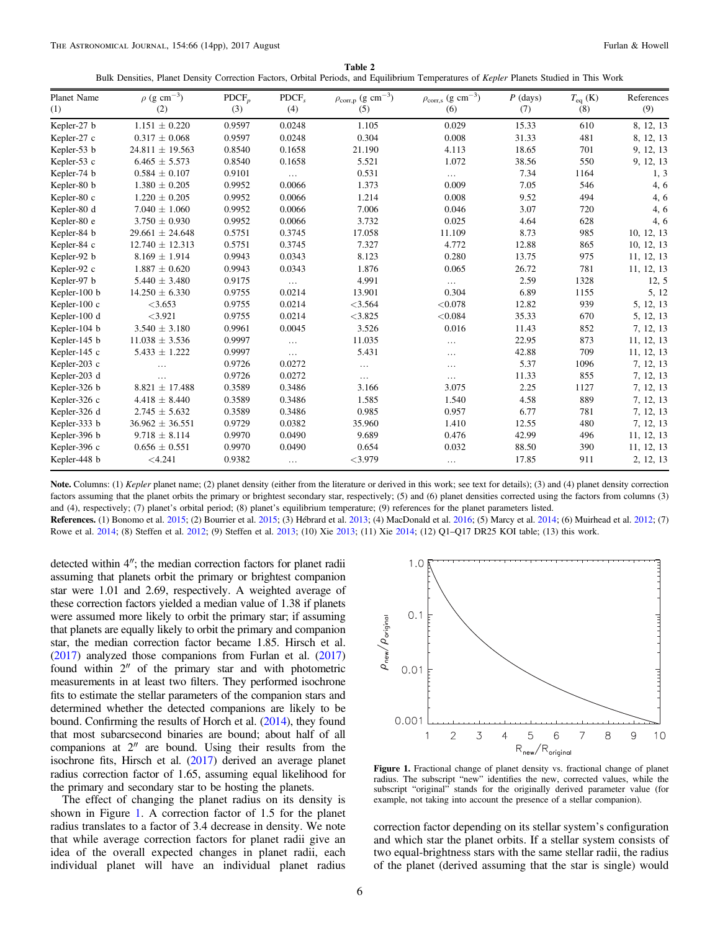Table 2 Bulk Densities, Planet Density Correction Factors, Orbital Periods, and Equilibrium Temperatures of Kepler Planets Studied in This Work

<span id="page-5-0"></span>

| Planet Name  | $\rho$ (g cm <sup>-3</sup> ) | $\text{PDCF}_p$ | PDCF,    | $\rho_{\rm corr,p}$ (g $\rm cm^{-3})$ | $\rho_{\rm corr,s}$ (g $\rm cm^{-3})$ | $P$ (days) | $T_{eq}$ (K) | References |
|--------------|------------------------------|-----------------|----------|---------------------------------------|---------------------------------------|------------|--------------|------------|
| (1)          | (2)                          | (3)             | (4)      | (5)                                   | (6)                                   | (7)        | (8)          | (9)        |
| Kepler-27 b  | $1.151 \pm 0.220$            | 0.9597          | 0.0248   | 1.105                                 | 0.029                                 | 15.33      | 610          | 8, 12, 13  |
| Kepler-27 c  | $0.317 \pm 0.068$            | 0.9597          | 0.0248   | 0.304                                 | 0.008                                 | 31.33      | 481          | 8, 12, 13  |
| Kepler-53 b  | $24.811 \pm 19.563$          | 0.8540          | 0.1658   | 21.190                                | 4.113                                 | 18.65      | 701          | 9, 12, 13  |
| Kepler-53 c  | $6.465 \pm 5.573$            | 0.8540          | 0.1658   | 5.521                                 | 1.072                                 | 38.56      | 550          | 9, 12, 13  |
| Kepler-74 b  | $0.584 \pm 0.107$            | 0.9101          | $\ldots$ | 0.531                                 | $\cdots$                              | 7.34       | 1164         | 1, 3       |
| Kepler-80 b  | $1.380 \pm 0.205$            | 0.9952          | 0.0066   | 1.373                                 | 0.009                                 | 7.05       | 546          | 4, 6       |
| Kepler-80 c  | $1.220 \pm 0.205$            | 0.9952          | 0.0066   | 1.214                                 | 0.008                                 | 9.52       | 494          | 4, 6       |
| Kepler-80 d  | $7.040 \pm 1.060$            | 0.9952          | 0.0066   | 7.006                                 | 0.046                                 | 3.07       | 720          | 4, 6       |
| Kepler-80 e  | $3.750 \pm 0.930$            | 0.9952          | 0.0066   | 3.732                                 | 0.025                                 | 4.64       | 628          | 4, 6       |
| Kepler-84 b  | $29.661 \pm 24.648$          | 0.5751          | 0.3745   | 17.058                                | 11.109                                | 8.73       | 985          | 10, 12, 13 |
| Kepler-84 c  | $12.740 \pm 12.313$          | 0.5751          | 0.3745   | 7.327                                 | 4.772                                 | 12.88      | 865          | 10, 12, 13 |
| Kepler-92 b  | $8.169 \pm 1.914$            | 0.9943          | 0.0343   | 8.123                                 | 0.280                                 | 13.75      | 975          | 11, 12, 13 |
| Kepler-92 c  | $1.887 \pm 0.620$            | 0.9943          | 0.0343   | 1.876                                 | 0.065                                 | 26.72      | 781          | 11, 12, 13 |
| Kepler-97 b  | $5.440 \pm 3.480$            | 0.9175          | $\ldots$ | 4.991                                 | .                                     | 2.59       | 1328         | 12, 5      |
| Kepler-100 b | $14.250 \pm 6.330$           | 0.9755          | 0.0214   | 13.901                                | 0.304                                 | 6.89       | 1155         | 5, 12      |
| Kepler-100 c | $<$ 3.653                    | 0.9755          | 0.0214   | < 3.564                               | < 0.078                               | 12.82      | 939          | 5, 12, 13  |
| Kepler-100 d | $<$ 3.921                    | 0.9755          | 0.0214   | < 3.825                               | < 0.084                               | 35.33      | 670          | 5, 12, 13  |
| Kepler-104 b | $3.540 \pm 3.180$            | 0.9961          | 0.0045   | 3.526                                 | 0.016                                 | 11.43      | 852          | 7, 12, 13  |
| Kepler-145 b | $11.038 \pm 3.536$           | 0.9997          | $\cdots$ | 11.035                                | $\cdots$                              | 22.95      | 873          | 11, 12, 13 |
| Kepler-145 c | $5.433 \pm 1.222$            | 0.9997          | $\ldots$ | 5.431                                 | $\cdots$                              | 42.88      | 709          | 11, 12, 13 |
| Kepler-203 c | $\cdots$                     | 0.9726          | 0.0272   | $\ldots$                              | $\cdots$                              | 5.37       | 1096         | 7, 12, 13  |
| Kepler-203 d | $\cdots$                     | 0.9726          | 0.0272   | $\cdots$                              | $\cdots$                              | 11.33      | 855          | 7, 12, 13  |
| Kepler-326 b | $8.821 \pm 17.488$           | 0.3589          | 0.3486   | 3.166                                 | 3.075                                 | 2.25       | 1127         | 7, 12, 13  |
| Kepler-326 c | $4.418 \pm 8.440$            | 0.3589          | 0.3486   | 1.585                                 | 1.540                                 | 4.58       | 889          | 7, 12, 13  |
| Kepler-326 d | $2.745 \pm 5.632$            | 0.3589          | 0.3486   | 0.985                                 | 0.957                                 | 6.77       | 781          | 7, 12, 13  |
| Kepler-333 b | $36.962 \pm 36.551$          | 0.9729          | 0.0382   | 35.960                                | 1.410                                 | 12.55      | 480          | 7, 12, 13  |
| Kepler-396 b | $9.718 \pm 8.114$            | 0.9970          | 0.0490   | 9.689                                 | 0.476                                 | 42.99      | 496          | 11, 12, 13 |
| Kepler-396 c | $0.656 \pm 0.551$            | 0.9970          | 0.0490   | 0.654                                 | 0.032                                 | 88.50      | 390          | 11, 12, 13 |
| Kepler-448 b | < 4.241                      | 0.9382          | $\cdots$ | $<$ 3.979                             | $\ldots$                              | 17.85      | 911          | 2, 12, 13  |

Note. Columns: (1) Kepler planet name; (2) planet density (either from the literature or derived in this work; see text for details); (3) and (4) planet density correction factors assuming that the planet orbits the primary or brightest secondary star, respectively; (5) and (6) planet densities corrected using the factors from columns (3) and (4), respectively; (7) planet's orbital period; (8) planet's equilibrium temperature; (9) references for the planet parameters listed.

References. (1) Bonomo et al. [2015](#page-12-0); (2) Bourrier et al. [2015](#page-12-0); (3) Hébrard et al. [2013](#page-13-0); (4) MacDonald et al. [2016;](#page-13-0) (5) Marcy et al. [2014](#page-13-0); (6) Muirhead et al. [2012](#page-13-0); (7) Rowe et al. [2014;](#page-13-0) (8) Steffen et al. [2012](#page-13-0); (9) Steffen et al. [2013;](#page-13-0) (10) Xie [2013](#page-13-0); (11) Xie [2014;](#page-13-0) (12) Q1–Q17 DR25 KOI table; (13) this work.

detected within 4″; the median correction factors for planet radii assuming that planets orbit the primary or brightest companion star were 1.01 and 2.69, respectively. A weighted average of these correction factors yielded a median value of 1.38 if planets were assumed more likely to orbit the primary star; if assuming that planets are equally likely to orbit the primary and companion star, the median correction factor became 1.85. Hirsch et al. ([2017](#page-13-0)) analyzed those companions from Furlan et al. ([2017](#page-12-0)) found within 2″ of the primary star and with photometric measurements in at least two filters. They performed isochrone fits to estimate the stellar parameters of the companion stars and determined whether the detected companions are likely to be bound. Confirming the results of Horch et al. ([2014](#page-13-0)), they found that most subarcsecond binaries are bound; about half of all companions at 2″ are bound. Using their results from the isochrone fits, Hirsch et al. ([2017](#page-13-0)) derived an average planet radius correction factor of 1.65, assuming equal likelihood for the primary and secondary star to be hosting the planets.

The effect of changing the planet radius on its density is shown in Figure 1. A correction factor of 1.5 for the planet radius translates to a factor of 3.4 decrease in density. We note that while average correction factors for planet radii give an idea of the overall expected changes in planet radii, each individual planet will have an individual planet radius



Figure 1. Fractional change of planet density vs. fractional change of planet radius. The subscript "new" identifies the new, corrected values, while the subscript "original" stands for the originally derived parameter value (for example, not taking into account the presence of a stellar companion).

correction factor depending on its stellar system's configuration and which star the planet orbits. If a stellar system consists of two equal-brightness stars with the same stellar radii, the radius of the planet (derived assuming that the star is single) would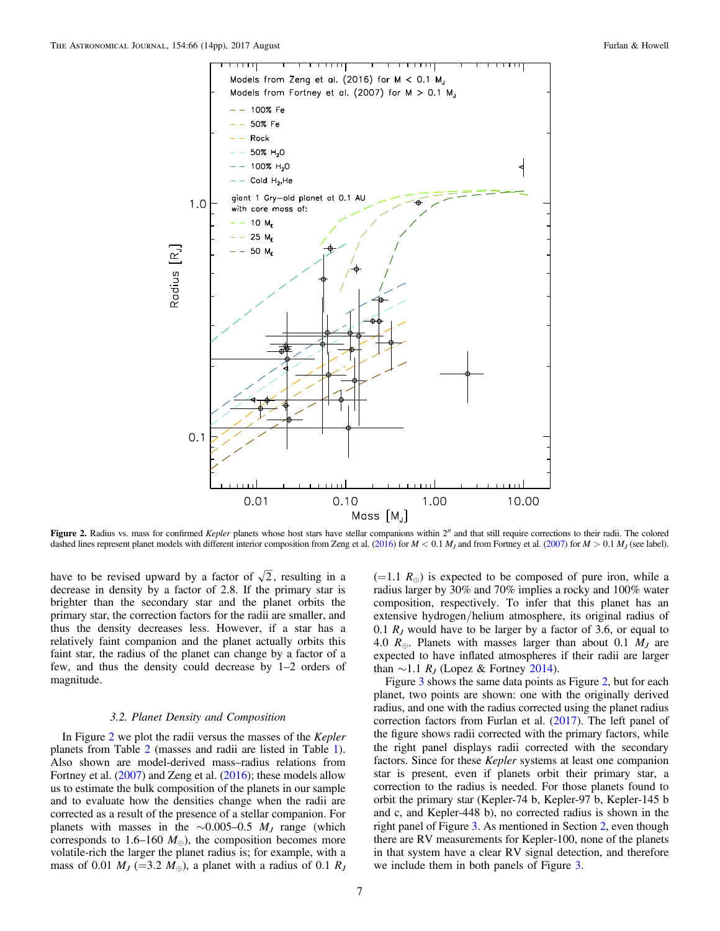<span id="page-6-0"></span>

Figure 2. Radius vs. mass for confirmed Kepler planets whose host stars have stellar companions within 2" and that still require corrections to their radii. The colored dashed lines represent planet models with different interior composition from Zeng et al. ([2016](#page-13-0)) for  $M < 0.1 M_J$  and from Fortney et al. ([2007](#page-12-0)) for  $M > 0.1 M_J$  (see label).

have to be revised upward by a factor of  $\sqrt{2}$ , resulting in a decrease in density by a factor of 2.8. If the primary star is brighter than the secondary star and the planet orbits the primary star, the correction factors for the radii are smaller, and thus the density decreases less. However, if a star has a relatively faint companion and the planet actually orbits this faint star, the radius of the planet can change by a factor of a few, and thus the density could decrease by 1–2 orders of magnitude.

### 3.2. Planet Density and Composition

In Figure 2 we plot the radii versus the masses of the Kepler planets from Table [2](#page-5-0) (masses and radii are listed in Table [1](#page-2-0)). Also shown are model-derived mass–radius relations from Fortney et al. ([2007](#page-12-0)) and Zeng et al. ([2016](#page-13-0)); these models allow us to estimate the bulk composition of the planets in our sample and to evaluate how the densities change when the radii are corrected as a result of the presence of a stellar companion. For planets with masses in the ∼0.005–0.5  $M_J$  range (which corresponds to 1.6–160  $M_{\oplus}$ ), the composition becomes more volatile-rich the larger the planet radius is; for example, with a mass of 0.01  $M_J$  (=3.2  $M_{\oplus}$ ), a planet with a radius of 0.1  $R_J$   $(=1.1 R<sub>⊕</sub>)$  is expected to be composed of pure iron, while a radius larger by 30% and 70% implies a rocky and 100% water composition, respectively. To infer that this planet has an extensive hydrogen/helium atmosphere, its original radius of 0.1  $R<sub>I</sub>$  would have to be larger by a factor of 3.6, or equal to 4.0  $R_{\oplus}$ . Planets with masses larger than about 0.1  $M_J$  are expected to have inflated atmospheres if their radii are larger than  $\sim$ 1.1 R<sub>J</sub> (Lopez & Fortney [2014](#page-13-0)).

Figure [3](#page-7-0) shows the same data points as Figure 2, but for each planet, two points are shown: one with the originally derived radius, and one with the radius corrected using the planet radius correction factors from Furlan et al. ([2017](#page-12-0)). The left panel of the figure shows radii corrected with the primary factors, while the right panel displays radii corrected with the secondary factors. Since for these *Kepler* systems at least one companion star is present, even if planets orbit their primary star, a correction to the radius is needed. For those planets found to orbit the primary star (Kepler-74 b, Kepler-97 b, Kepler-145 b and c, and Kepler-448 b), no corrected radius is shown in the right panel of Figure [3](#page-7-0). As mentioned in Section [2](#page-1-0), even though there are RV measurements for Kepler-100, none of the planets in that system have a clear RV signal detection, and therefore we include them in both panels of Figure [3](#page-7-0).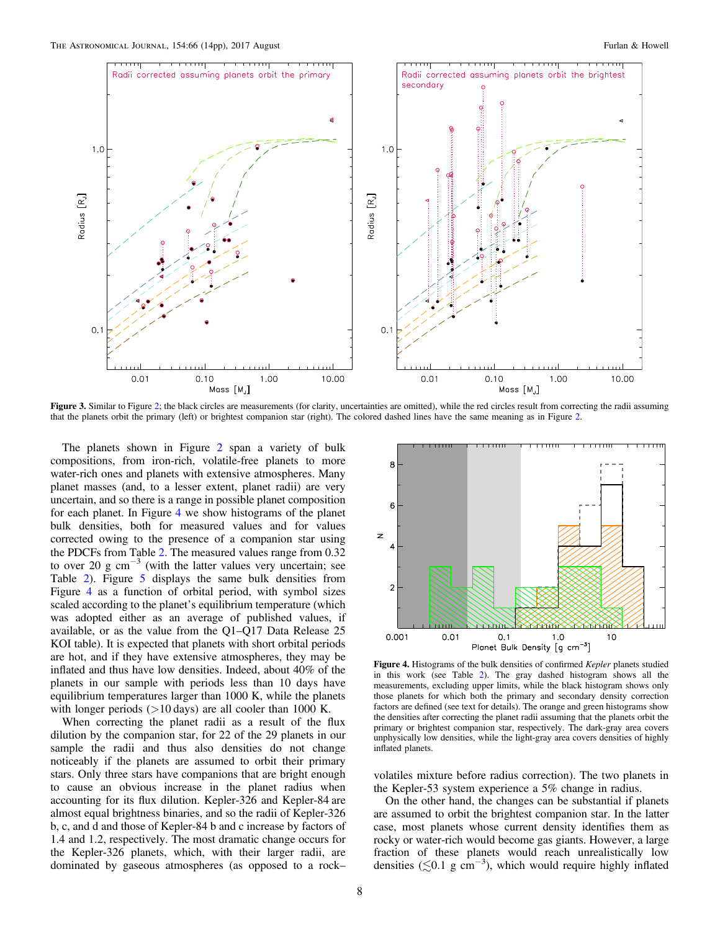<span id="page-7-0"></span>

Figure 3. Similar to Figure [2](#page-6-0); the black circles are measurements (for clarity, uncertainties are omitted), while the red circles result from correcting the radii assuming that the planets orbit the primary (left) or brightest companion star (right). The colored dashed lines have the same meaning as in Figure [2](#page-6-0).

The planets shown in Figure [2](#page-6-0) span a variety of bulk compositions, from iron-rich, volatile-free planets to more water-rich ones and planets with extensive atmospheres. Many planet masses (and, to a lesser extent, planet radii) are very uncertain, and so there is a range in possible planet composition for each planet. In Figure 4 we show histograms of the planet bulk densities, both for measured values and for values corrected owing to the presence of a companion star using the PDCFs from Table [2.](#page-5-0) The measured values range from 0.32 to over 20 g cm<sup> $-3$ </sup> (with the latter values very uncertain; see Table [2](#page-5-0)). Figure [5](#page-8-0) displays the same bulk densities from Figure 4 as a function of orbital period, with symbol sizes scaled according to the planet's equilibrium temperature (which was adopted either as an average of published values, if available, or as the value from the Q1–Q17 Data Release 25 KOI table). It is expected that planets with short orbital periods are hot, and if they have extensive atmospheres, they may be inflated and thus have low densities. Indeed, about 40% of the planets in our sample with periods less than 10 days have equilibrium temperatures larger than 1000 K, while the planets with longer periods  $(>10 \text{ days})$  are all cooler than 1000 K.

When correcting the planet radii as a result of the flux dilution by the companion star, for 22 of the 29 planets in our sample the radii and thus also densities do not change noticeably if the planets are assumed to orbit their primary stars. Only three stars have companions that are bright enough to cause an obvious increase in the planet radius when accounting for its flux dilution. Kepler-326 and Kepler-84 are almost equal brightness binaries, and so the radii of Kepler-326 b, c, and d and those of Kepler-84 b and c increase by factors of 1.4 and 1.2, respectively. The most dramatic change occurs for the Kepler-326 planets, which, with their larger radii, are dominated by gaseous atmospheres (as opposed to a rock–



Figure 4. Histograms of the bulk densities of confirmed Kepler planets studied in this work (see Table [2](#page-5-0)). The gray dashed histogram shows all the measurements, excluding upper limits, while the black histogram shows only those planets for which both the primary and secondary density correction factors are defined (see text for details). The orange and green histograms show the densities after correcting the planet radii assuming that the planets orbit the primary or brightest companion star, respectively. The dark-gray area covers unphysically low densities, while the light-gray area covers densities of highly inflated planets.

volatiles mixture before radius correction). The two planets in the Kepler-53 system experience a 5% change in radius.

On the other hand, the changes can be substantial if planets are assumed to orbit the brightest companion star. In the latter case, most planets whose current density identifies them as rocky or water-rich would become gas giants. However, a large fraction of these planets would reach unrealistically low densities ( $\lesssim 0.1$  g cm<sup>-3</sup>), which would require highly inflated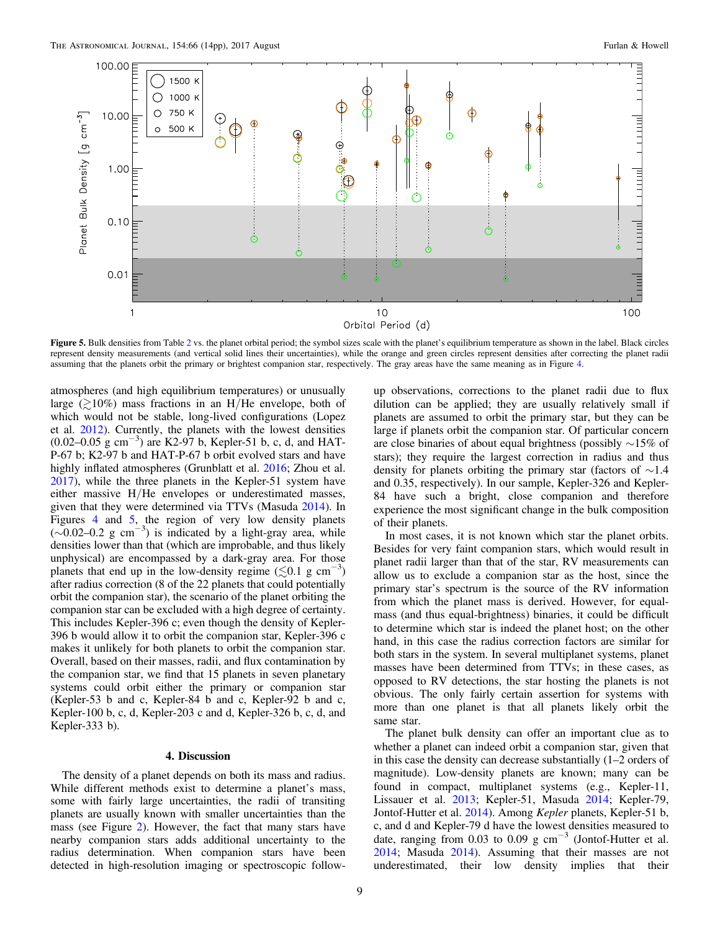<span id="page-8-0"></span>

Figure 5. Bulk densities from Table [2](#page-5-0) vs. the planet orbital period; the symbol sizes scale with the planet's equilibrium temperature as shown in the label. Black circles represent density measurements (and vertical solid lines their uncertainties), while the orange and green circles represent densities after correcting the planet radii assuming that the planets orbit the primary or brightest companion star, respectively. The gray areas have the same meaning as in Figure [4.](#page-7-0)

atmospheres (and high equilibrium temperatures) or unusually large ( $\geq 10\%$ ) mass fractions in an H/He envelope, both of which would not be stable, long-lived configurations (Lopez et al. [2012](#page-13-0)). Currently, the planets with the lowest densities (0.02–0.05 g cm−<sup>3</sup> ) are K2-97 b, Kepler-51 b, c, d, and HAT-P-67 b; K2-97 b and HAT-P-67 b orbit evolved stars and have highly inflated atmospheres (Grunblatt et al. [2016](#page-13-0); Zhou et al. [2017](#page-13-0)), while the three planets in the Kepler-51 system have either massive H/He envelopes or underestimated masses, given that they were determined via TTVs (Masuda [2014](#page-13-0)). In Figures [4](#page-7-0) and 5, the region of very low density planets ( $\sim$ 0.02–0.2 g cm<sup>-3</sup>) is indicated by a light-gray area, while densities lower than that (which are improbable, and thus likely unphysical) are encompassed by a dark-gray area. For those planets that end up in the low-density regime  $(\lesssim 0.1 \text{ g cm}^{-3})$ after radius correction (8 of the 22 planets that could potentially orbit the companion star), the scenario of the planet orbiting the companion star can be excluded with a high degree of certainty. This includes Kepler-396 c; even though the density of Kepler-396 b would allow it to orbit the companion star, Kepler-396 c makes it unlikely for both planets to orbit the companion star. Overall, based on their masses, radii, and flux contamination by the companion star, we find that 15 planets in seven planetary systems could orbit either the primary or companion star (Kepler-53 b and c, Kepler-84 b and c, Kepler-92 b and c, Kepler-100 b, c, d, Kepler-203 c and d, Kepler-326 b, c, d, and Kepler-333 b).

#### 4. Discussion

The density of a planet depends on both its mass and radius. While different methods exist to determine a planet's mass, some with fairly large uncertainties, the radii of transiting planets are usually known with smaller uncertainties than the mass (see Figure [2](#page-6-0)). However, the fact that many stars have nearby companion stars adds additional uncertainty to the radius determination. When companion stars have been detected in high-resolution imaging or spectroscopic followup observations, corrections to the planet radii due to flux dilution can be applied; they are usually relatively small if planets are assumed to orbit the primary star, but they can be large if planets orbit the companion star. Of particular concern are close binaries of about equal brightness (possibly ∼15% of stars); they require the largest correction in radius and thus density for planets orbiting the primary star (factors of ∼1.4 and 0.35, respectively). In our sample, Kepler-326 and Kepler-84 have such a bright, close companion and therefore experience the most significant change in the bulk composition of their planets.

In most cases, it is not known which star the planet orbits. Besides for very faint companion stars, which would result in planet radii larger than that of the star, RV measurements can allow us to exclude a companion star as the host, since the primary star's spectrum is the source of the RV information from which the planet mass is derived. However, for equalmass (and thus equal-brightness) binaries, it could be difficult to determine which star is indeed the planet host; on the other hand, in this case the radius correction factors are similar for both stars in the system. In several multiplanet systems, planet masses have been determined from TTVs; in these cases, as opposed to RV detections, the star hosting the planets is not obvious. The only fairly certain assertion for systems with more than one planet is that all planets likely orbit the same star.

The planet bulk density can offer an important clue as to whether a planet can indeed orbit a companion star, given that in this case the density can decrease substantially (1–2 orders of magnitude). Low-density planets are known; many can be found in compact, multiplanet systems (e.g., Kepler-11, Lissauer et al. [2013;](#page-13-0) Kepler-51, Masuda [2014](#page-13-0); Kepler-79, Jontof-Hutter et al. [2014](#page-13-0)). Among Kepler planets, Kepler-51 b, c, and d and Kepler-79 d have the lowest densities measured to date, ranging from 0.03 to 0.09 g  $cm^{-3}$  (Jontof-Hutter et al. [2014;](#page-13-0) Masuda [2014](#page-13-0)). Assuming that their masses are not underestimated, their low density implies that their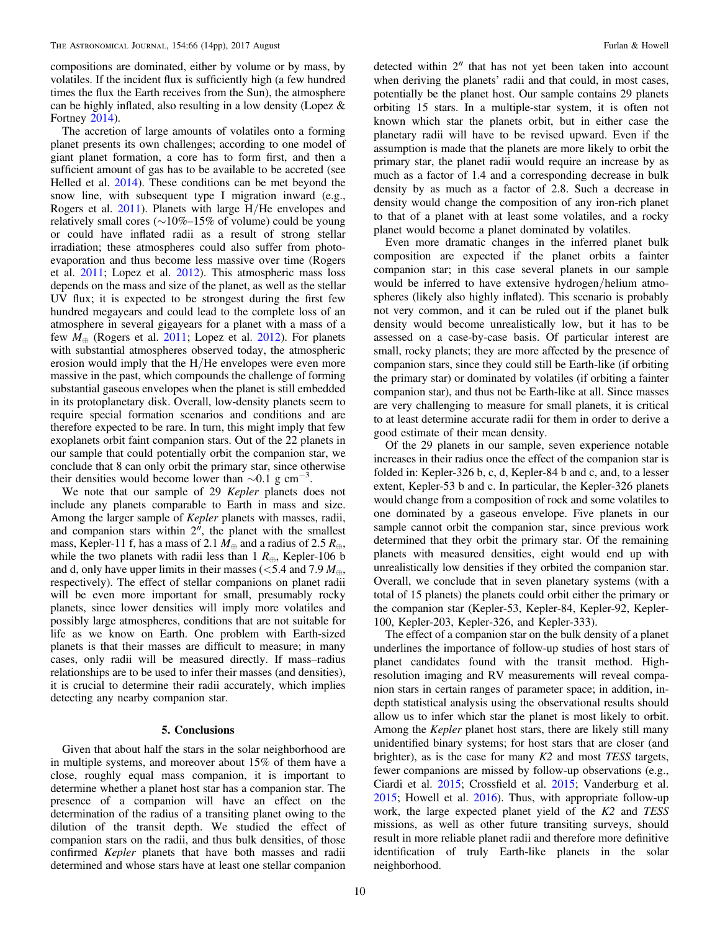<span id="page-9-0"></span>compositions are dominated, either by volume or by mass, by volatiles. If the incident flux is sufficiently high (a few hundred times the flux the Earth receives from the Sun), the atmosphere can be highly inflated, also resulting in a low density (Lopez & Fortney [2014](#page-13-0)).

The accretion of large amounts of volatiles onto a forming planet presents its own challenges; according to one model of giant planet formation, a core has to form first, and then a sufficient amount of gas has to be available to be accreted (see Helled et al. [2014](#page-13-0)). These conditions can be met beyond the snow line, with subsequent type I migration inward (e.g., Rogers et al. [2011](#page-13-0)). Planets with large H/He envelopes and relatively small cores (∼10%–15% of volume) could be young or could have inflated radii as a result of strong stellar irradiation; these atmospheres could also suffer from photoevaporation and thus become less massive over time (Rogers et al. [2011](#page-13-0); Lopez et al. [2012](#page-13-0)). This atmospheric mass loss depends on the mass and size of the planet, as well as the stellar UV flux; it is expected to be strongest during the first few hundred megayears and could lead to the complete loss of an atmosphere in several gigayears for a planet with a mass of a few  $M_{\oplus}$  (Rogers et al. [2011](#page-13-0); Lopez et al. [2012](#page-13-0)). For planets with substantial atmospheres observed today, the atmospheric erosion would imply that the H/He envelopes were even more massive in the past, which compounds the challenge of forming substantial gaseous envelopes when the planet is still embedded in its protoplanetary disk. Overall, low-density planets seem to require special formation scenarios and conditions and are therefore expected to be rare. In turn, this might imply that few exoplanets orbit faint companion stars. Out of the 22 planets in our sample that could potentially orbit the companion star, we conclude that 8 can only orbit the primary star, since otherwise their densities would become lower than  $\sim 0.1$  g cm<sup>-3</sup>.

We note that our sample of 29 Kepler planets does not include any planets comparable to Earth in mass and size. Among the larger sample of *Kepler* planets with masses, radii, and companion stars within  $2<sup>''</sup>$ , the planet with the smallest mass, Kepler-11 f, has a mass of 2.1  $M_{\oplus}$  and a radius of 2.5  $R_{\oplus}$ , while the two planets with radii less than 1  $R_{\oplus}$ , Kepler-106 b and d, only have upper limits in their masses ( $\lt$ 5.4 and 7.9  $M_{\oplus}$ , respectively). The effect of stellar companions on planet radii will be even more important for small, presumably rocky planets, since lower densities will imply more volatiles and possibly large atmospheres, conditions that are not suitable for life as we know on Earth. One problem with Earth-sized planets is that their masses are difficult to measure; in many cases, only radii will be measured directly. If mass–radius relationships are to be used to infer their masses (and densities), it is crucial to determine their radii accurately, which implies detecting any nearby companion star.

### 5. Conclusions

Given that about half the stars in the solar neighborhood are in multiple systems, and moreover about 15% of them have a close, roughly equal mass companion, it is important to determine whether a planet host star has a companion star. The presence of a companion will have an effect on the determination of the radius of a transiting planet owing to the dilution of the transit depth. We studied the effect of companion stars on the radii, and thus bulk densities, of those confirmed Kepler planets that have both masses and radii determined and whose stars have at least one stellar companion

detected within 2″ that has not yet been taken into account when deriving the planets' radii and that could, in most cases, potentially be the planet host. Our sample contains 29 planets orbiting 15 stars. In a multiple-star system, it is often not known which star the planets orbit, but in either case the planetary radii will have to be revised upward. Even if the assumption is made that the planets are more likely to orbit the primary star, the planet radii would require an increase by as much as a factor of 1.4 and a corresponding decrease in bulk density by as much as a factor of 2.8. Such a decrease in density would change the composition of any iron-rich planet to that of a planet with at least some volatiles, and a rocky planet would become a planet dominated by volatiles.

Even more dramatic changes in the inferred planet bulk composition are expected if the planet orbits a fainter companion star; in this case several planets in our sample would be inferred to have extensive hydrogen/helium atmospheres (likely also highly inflated). This scenario is probably not very common, and it can be ruled out if the planet bulk density would become unrealistically low, but it has to be assessed on a case-by-case basis. Of particular interest are small, rocky planets; they are more affected by the presence of companion stars, since they could still be Earth-like (if orbiting the primary star) or dominated by volatiles (if orbiting a fainter companion star), and thus not be Earth-like at all. Since masses are very challenging to measure for small planets, it is critical to at least determine accurate radii for them in order to derive a good estimate of their mean density.

Of the 29 planets in our sample, seven experience notable increases in their radius once the effect of the companion star is folded in: Kepler-326 b, c, d, Kepler-84 b and c, and, to a lesser extent, Kepler-53 b and c. In particular, the Kepler-326 planets would change from a composition of rock and some volatiles to one dominated by a gaseous envelope. Five planets in our sample cannot orbit the companion star, since previous work determined that they orbit the primary star. Of the remaining planets with measured densities, eight would end up with unrealistically low densities if they orbited the companion star. Overall, we conclude that in seven planetary systems (with a total of 15 planets) the planets could orbit either the primary or the companion star (Kepler-53, Kepler-84, Kepler-92, Kepler-100, Kepler-203, Kepler-326, and Kepler-333).

The effect of a companion star on the bulk density of a planet underlines the importance of follow-up studies of host stars of planet candidates found with the transit method. Highresolution imaging and RV measurements will reveal companion stars in certain ranges of parameter space; in addition, indepth statistical analysis using the observational results should allow us to infer which star the planet is most likely to orbit. Among the Kepler planet host stars, there are likely still many unidentified binary systems; for host stars that are closer (and brighter), as is the case for many  $K2$  and most TESS targets, fewer companions are missed by follow-up observations (e.g., Ciardi et al. [2015](#page-12-0); Crossfield et al. [2015](#page-12-0); Vanderburg et al. [2015;](#page-13-0) Howell et al. [2016](#page-13-0)). Thus, with appropriate follow-up work, the large expected planet yield of the K2 and TESS missions, as well as other future transiting surveys, should result in more reliable planet radii and therefore more definitive identification of truly Earth-like planets in the solar neighborhood.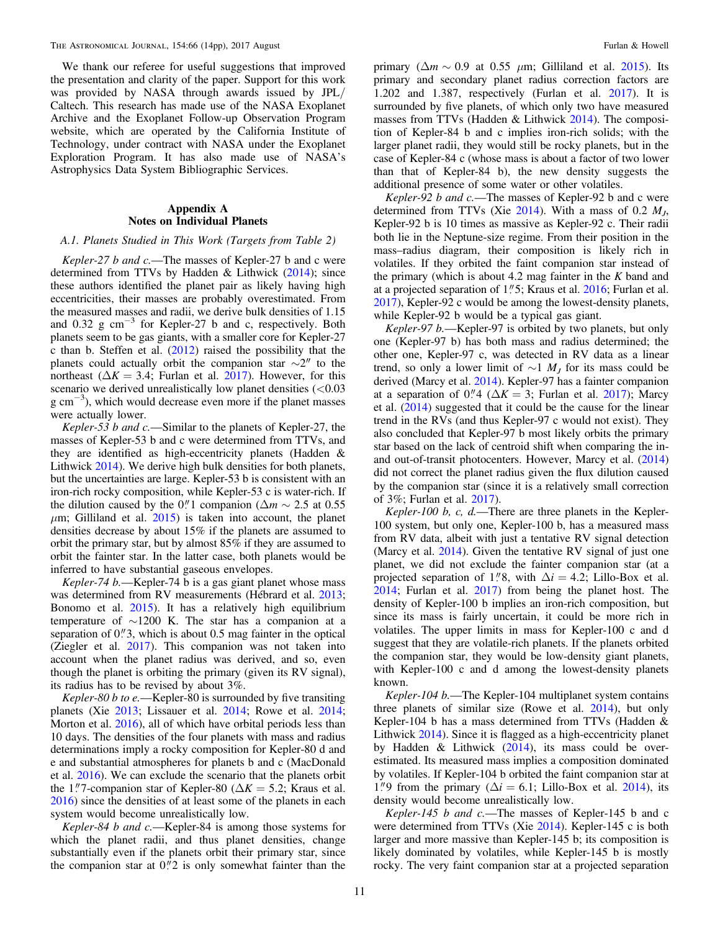The Astronomical Journal, 154:66 (14pp), 2017 August Furlan & Howell Furlan & Howell

We thank our referee for useful suggestions that improved the presentation and clarity of the paper. Support for this work was provided by NASA through awards issued by JPL/ Caltech. This research has made use of the NASA Exoplanet Archive and the Exoplanet Follow-up Observation Program website, which are operated by the California Institute of Technology, under contract with NASA under the Exoplanet Exploration Program. It has also made use of NASA's Astrophysics Data System Bibliographic Services.

# Appendix A Notes on Individual Planets

# A.1. Planets Studied in This Work (Targets from Table 2)

Kepler-27 b and c.—The masses of Kepler-27 b and c were determined from TTVs by Hadden & Lithwick ([2014](#page-13-0)); since these authors identified the planet pair as likely having high eccentricities, their masses are probably overestimated. From the measured masses and radii, we derive bulk densities of 1.15 and 0.32 g cm<sup> $-3$ </sup> for Kepler-27 b and c, respectively. Both planets seem to be gas giants, with a smaller core for Kepler-27 c than b. Steffen et al. ([2012](#page-13-0)) raised the possibility that the planets could actually orbit the companion star  $\sim$ 2″ to the northeast ( $\Delta K = 3.4$ ; Furlan et al. [2017](#page-12-0)). However, for this scenario we derived unrealistically low planet densities  $(< 0.03$ g cm<sup>-3</sup>), which would decrease even more if the planet masses were actually lower.

Kepler-53 b and  $c$ . Similar to the planets of Kepler-27, the masses of Kepler-53 b and c were determined from TTVs, and they are identified as high-eccentricity planets (Hadden & Lithwick [2014](#page-13-0)). We derive high bulk densities for both planets, but the uncertainties are large. Kepler-53 b is consistent with an iron-rich rocky composition, while Kepler-53 c is water-rich. If the dilution caused by the 0.'' 1 companion ( $\Delta m \sim 2.5$  at 0.55  $\mu$ m; Gilliland et al. [2015](#page-13-0)) is taken into account, the planet densities decrease by about 15% if the planets are assumed to orbit the primary star, but by almost 85% if they are assumed to orbit the fainter star. In the latter case, both planets would be inferred to have substantial gaseous envelopes.

Kepler-74 b.—Kepler-74 b is a gas giant planet whose mass was determined from RV measurements (Hébrard et al. [2013](#page-13-0); Bonomo et al. [2015](#page-12-0)). It has a relatively high equilibrium temperature of ∼1200 K. The star has a companion at a separation of  $0$ ." 3, which is about 0.5 mag fainter in the optical (Ziegler et al. [2017](#page-13-0)). This companion was not taken into account when the planet radius was derived, and so, even though the planet is orbiting the primary (given its RV signal), its radius has to be revised by about 3%.

Kepler-80 b to e.—Kepler-80 is surrounded by five transiting planets (Xie [2013;](#page-13-0) Lissauer et al. [2014;](#page-13-0) Rowe et al. [2014](#page-13-0); Morton et al. [2016](#page-13-0)), all of which have orbital periods less than 10 days. The densities of the four planets with mass and radius determinations imply a rocky composition for Kepler-80 d and e and substantial atmospheres for planets b and c (MacDonald et al. [2016](#page-13-0)). We can exclude the scenario that the planets orbit the 1."7-companion star of Kepler-80 ( $\Delta K = 5.2$ ; Kraus et al. [2016](#page-13-0)) since the densities of at least some of the planets in each system would become unrealistically low.

Kepler-84 b and c.—Kepler-84 is among those systems for which the planet radii, and thus planet densities, change substantially even if the planets orbit their primary star, since the companion star at  $0$ .<sup>"</sup> $2$  is only somewhat fainter than the

primary ( $\Delta m \sim 0.9$  at 0.55  $\mu$ m; Gilliland et al. [2015](#page-13-0)). Its primary and secondary planet radius correction factors are 1.202 and 1.387, respectively (Furlan et al. [2017](#page-12-0)). It is surrounded by five planets, of which only two have measured masses from TTVs (Hadden & Lithwick [2014](#page-13-0)). The composition of Kepler-84 b and c implies iron-rich solids; with the larger planet radii, they would still be rocky planets, but in the case of Kepler-84 c (whose mass is about a factor of two lower than that of Kepler-84 b), the new density suggests the additional presence of some water or other volatiles.

Kepler-92 b and  $c$ .—The masses of Kepler-92 b and c were determined from TTVs (Xie  $2014$ ). With a mass of 0.2  $M<sub>J</sub>$ , Kepler-92 b is 10 times as massive as Kepler-92 c. Their radii both lie in the Neptune-size regime. From their position in the mass–radius diagram, their composition is likely rich in volatiles. If they orbited the faint companion star instead of the primary (which is about 4.2 mag fainter in the  $K$  band and at a projected separation of 1"5; Kraus et al. [2016](#page-13-0); Furlan et al. [2017](#page-12-0)), Kepler-92 c would be among the lowest-density planets, while Kepler-92 b would be a typical gas giant.

Kepler-97 b.-Kepler-97 is orbited by two planets, but only one (Kepler-97 b) has both mass and radius determined; the other one, Kepler-97 c, was detected in RV data as a linear trend, so only a lower limit of  $\sim$ 1  $M_J$  for its mass could be derived (Marcy et al. [2014](#page-13-0)). Kepler-97 has a fainter companion at a separation of 0.<sup>"</sup> 4 ( $\Delta K = 3$ ; Furlan et al. [2017](#page-12-0)); Marcy et al. ([2014](#page-13-0)) suggested that it could be the cause for the linear trend in the RVs (and thus Kepler-97 c would not exist). They also concluded that Kepler-97 b most likely orbits the primary star based on the lack of centroid shift when comparing the inand out-of-transit photocenters. However, Marcy et al. ([2014](#page-13-0)) did not correct the planet radius given the flux dilution caused by the companion star (since it is a relatively small correction of 3%; Furlan et al. [2017](#page-12-0)).

Kepler-100 b, c, d.—There are three planets in the Kepler-100 system, but only one, Kepler-100 b, has a measured mass from RV data, albeit with just a tentative RV signal detection (Marcy et al. [2014](#page-13-0)). Given the tentative RV signal of just one planet, we did not exclude the fainter companion star (at a projected separation of 1."8, with  $\Delta i = 4.2$ ; Lillo-Box et al. [2014;](#page-13-0) Furlan et al. [2017](#page-12-0)) from being the planet host. The density of Kepler-100 b implies an iron-rich composition, but since its mass is fairly uncertain, it could be more rich in volatiles. The upper limits in mass for Kepler-100 c and d suggest that they are volatile-rich planets. If the planets orbited the companion star, they would be low-density giant planets, with Kepler-100 c and d among the lowest-density planets known.

Kepler-104 b.—The Kepler-104 multiplanet system contains three planets of similar size (Rowe et al. [2014](#page-13-0)), but only Kepler-104 b has a mass determined from TTVs (Hadden & Lithwick [2014](#page-13-0)). Since it is flagged as a high-eccentricity planet by Hadden & Lithwick  $(2014)$  $(2014)$  $(2014)$ , its mass could be overestimated. Its measured mass implies a composition dominated by volatiles. If Kepler-104 b orbited the faint companion star at 1."9 from the primary ( $\Delta i = 6.1$ ; Lillo-Box et al. [2014](#page-13-0)), its density would become unrealistically low.

Kepler-145 b and c.-The masses of Kepler-145 b and c were determined from TTVs (Xie [2014](#page-13-0)). Kepler-145 c is both larger and more massive than Kepler-145 b; its composition is likely dominated by volatiles, while Kepler-145 b is mostly rocky. The very faint companion star at a projected separation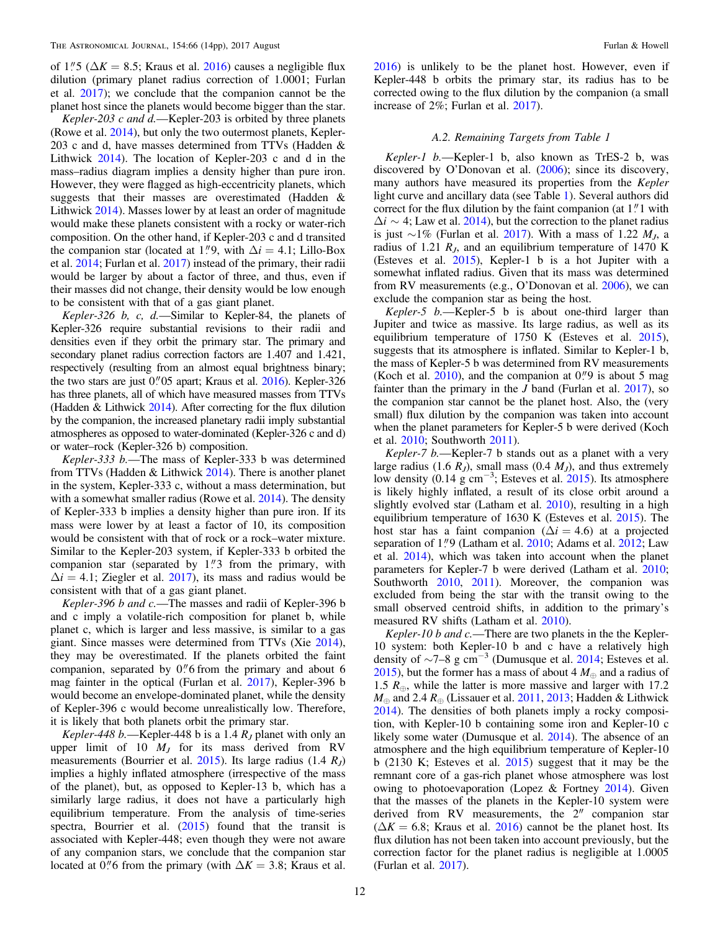of 1."5 ( $\Delta K = 8.5$ ; Kraus et al. [2016](#page-13-0)) causes a negligible flux dilution (primary planet radius correction of 1.0001; Furlan et al. [2017](#page-12-0)); we conclude that the companion cannot be the planet host since the planets would become bigger than the star.

Kepler-203  $c$  and  $d$ .—Kepler-203 is orbited by three planets (Rowe et al. [2014](#page-13-0)), but only the two outermost planets, Kepler-203 c and d, have masses determined from TTVs (Hadden & Lithwick [2014](#page-13-0)). The location of Kepler-203 c and d in the mass–radius diagram implies a density higher than pure iron. However, they were flagged as high-eccentricity planets, which suggests that their masses are overestimated (Hadden & Lithwick [2014](#page-13-0)). Masses lower by at least an order of magnitude would make these planets consistent with a rocky or water-rich composition. On the other hand, if Kepler-203 c and d transited the companion star (located at 1."9, with  $\Delta i = 4.1$ ; Lillo-Box et al. [2014](#page-13-0); Furlan et al. [2017](#page-12-0)) instead of the primary, their radii would be larger by about a factor of three, and thus, even if their masses did not change, their density would be low enough to be consistent with that of a gas giant planet.

Kepler-326 b, c,  $d$ . Similar to Kepler-84, the planets of Kepler-326 require substantial revisions to their radii and densities even if they orbit the primary star. The primary and secondary planet radius correction factors are 1.407 and 1.421, respectively (resulting from an almost equal brightness binary; the two stars are just  $0''05$  apart; Kraus et al.  $2016$ ). Kepler-326 has three planets, all of which have measured masses from TTVs (Hadden & Lithwick [2014](#page-13-0)). After correcting for the flux dilution by the companion, the increased planetary radii imply substantial atmospheres as opposed to water-dominated (Kepler-326 c and d) or water–rock (Kepler-326 b) composition.

Kepler-333 b.—The mass of Kepler-333 b was determined from TTVs (Hadden & Lithwick [2014](#page-13-0)). There is another planet in the system, Kepler-333 c, without a mass determination, but with a somewhat smaller radius (Rowe et al. [2014](#page-13-0)). The density of Kepler-333 b implies a density higher than pure iron. If its mass were lower by at least a factor of 10, its composition would be consistent with that of rock or a rock–water mixture. Similar to the Kepler-203 system, if Kepler-333 b orbited the companion star (separated by  $1\frac{1}{3}$  from the primary, with  $\Delta i = 4.1$ ; Ziegler et al. [2017](#page-13-0)), its mass and radius would be consistent with that of a gas giant planet.

Kepler-396 b and c.—The masses and radii of Kepler-396 b and c imply a volatile-rich composition for planet b, while planet c, which is larger and less massive, is similar to a gas giant. Since masses were determined from TTVs (Xie [2014](#page-13-0)), they may be overestimated. If the planets orbited the faint companion, separated by  $0''$  from the primary and about 6 mag fainter in the optical (Furlan et al. [2017](#page-12-0)), Kepler-396 b would become an envelope-dominated planet, while the density of Kepler-396 c would become unrealistically low. Therefore, it is likely that both planets orbit the primary star.

Kepler-448 b.—Kepler-448 b is a 1.4  $R_J$  planet with only an upper limit of 10  $M<sub>J</sub>$  for its mass derived from RV measurements (Bourrier et al.  $2015$ ). Its large radius (1.4  $R_J$ ) implies a highly inflated atmosphere (irrespective of the mass of the planet), but, as opposed to Kepler-13 b, which has a similarly large radius, it does not have a particularly high equilibrium temperature. From the analysis of time-series spectra, Bourrier et al. ([2015](#page-12-0)) found that the transit is associated with Kepler-448; even though they were not aware of any companion stars, we conclude that the companion star located at 0.76 from the primary (with  $\Delta K = 3.8$ ; Kraus et al. [2016](#page-13-0)) is unlikely to be the planet host. However, even if Kepler-448 b orbits the primary star, its radius has to be corrected owing to the flux dilution by the companion (a small increase of 2%; Furlan et al. [2017](#page-12-0)).

### A.2. Remaining Targets from Table 1

Kepler-1 b.—Kepler-1 b, also known as TrES-2 b, was discovered by O'Donovan et al. ([2006](#page-13-0)); since its discovery, many authors have measured its properties from the *Kepler* light curve and ancillary data (see Table [1](#page-2-0)). Several authors did correct for the flux dilution by the faint companion (at  $1$ .<sup>"</sup> $1$  with  $\Delta i \sim 4$ ; Law et al. [2014](#page-13-0)), but the correction to the planet radius is just ∼1% (Furlan et al. [2017](#page-12-0)). With a mass of 1.22  $M<sub>J</sub>$ , a radius of 1.21  $R<sub>I</sub>$ , and an equilibrium temperature of 1470 K (Esteves et al. [2015](#page-12-0)), Kepler-1 b is a hot Jupiter with a somewhat inflated radius. Given that its mass was determined from RV measurements (e.g., O'Donovan et al. [2006](#page-13-0)), we can exclude the companion star as being the host.

Kepler-5 b.—Kepler-5 b is about one-third larger than Jupiter and twice as massive. Its large radius, as well as its equilibrium temperature of 1750 K (Esteves et al. [2015](#page-12-0)), suggests that its atmosphere is inflated. Similar to Kepler-1 b, the mass of Kepler-5 b was determined from RV measurements (Koch et al.  $2010$ ), and the companion at  $0\rlap{.}''9$  is about 5 mag fainter than the primary in the  $J$  band (Furlan et al. [2017](#page-12-0)), so the companion star cannot be the planet host. Also, the (very small) flux dilution by the companion was taken into account when the planet parameters for Kepler-5 b were derived (Koch et al. [2010](#page-13-0); Southworth [2011](#page-13-0)).

Kepler-7 b.-Kepler-7 b stands out as a planet with a very large radius (1.6  $R_J$ ), small mass (0.4  $M_J$ ), and thus extremely low density  $(0.14 \text{ g cm}^{-3})$ ; Esteves et al. [2015](#page-12-0)). Its atmosphere is likely highly inflated, a result of its close orbit around a slightly evolved star (Latham et al. [2010](#page-13-0)), resulting in a high equilibrium temperature of 1630 K (Esteves et al. [2015](#page-12-0)). The host star has a faint companion ( $\Delta i = 4.6$ ) at a projected separation of 1."9 (Latham et al. [2010](#page-13-0); Adams et al. [2012](#page-12-0); Law et al. [2014](#page-13-0)), which was taken into account when the planet parameters for Kepler-7 b were derived (Latham et al. [2010](#page-13-0); Southworth [2010](#page-13-0), [2011](#page-13-0)). Moreover, the companion was excluded from being the star with the transit owing to the small observed centroid shifts, in addition to the primary's measured RV shifts (Latham et al. [2010](#page-13-0)).

Kepler-10 b and c.-There are two planets in the the Kepler-10 system: both Kepler-10 b and c have a relatively high density of  $\sim$ 7–8 g cm<sup>-3</sup> (Dumusque et al. [2014;](#page-12-0) Esteves et al. [2015](#page-12-0)), but the former has a mass of about 4  $M_{\oplus}$  and a radius of 1.5  $R_{\oplus}$ , while the latter is more massive and larger with 17.2  $M_{\oplus}$  and 2.4  $R_{\oplus}$  (Lissauer et al. [2011](#page-13-0), [2013](#page-13-0); Hadden & Lithwick [2014](#page-13-0)). The densities of both planets imply a rocky composition, with Kepler-10 b containing some iron and Kepler-10 c likely some water (Dumusque et al. [2014](#page-12-0)). The absence of an atmosphere and the high equilibrium temperature of Kepler-10 b (2130 K; Esteves et al. [2015](#page-12-0)) suggest that it may be the remnant core of a gas-rich planet whose atmosphere was lost owing to photoevaporation (Lopez & Fortney [2014](#page-13-0)). Given that the masses of the planets in the Kepler-10 system were derived from RV measurements, the 2″ companion star  $(\Delta K = 6.8;$  Kraus et al. [2016](#page-13-0)) cannot be the planet host. Its flux dilution has not been taken into account previously, but the correction factor for the planet radius is negligible at 1.0005 (Furlan et al. [2017](#page-12-0)).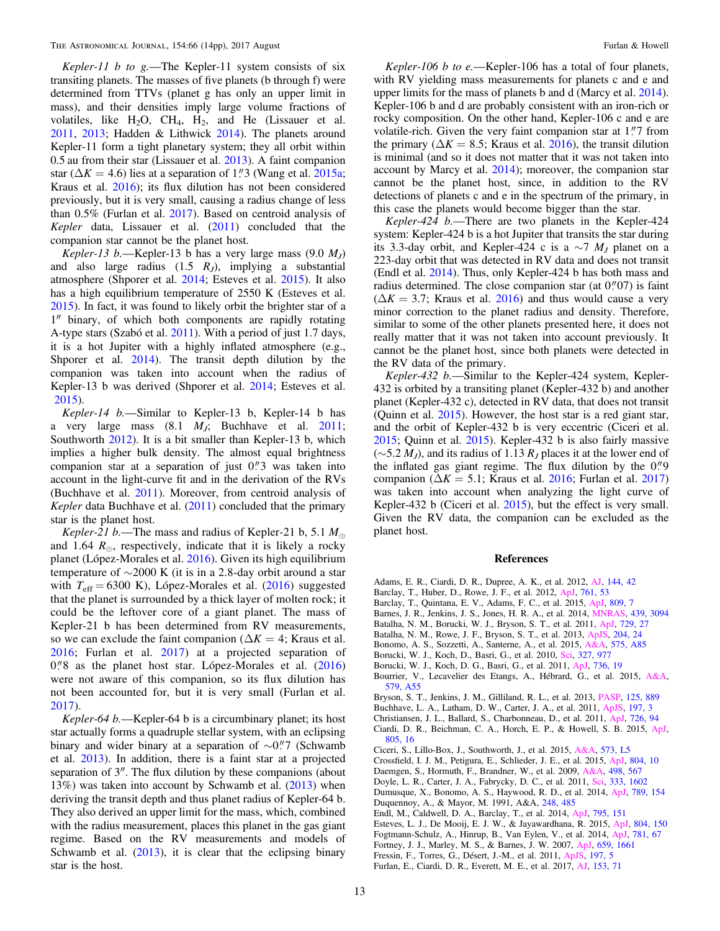<span id="page-12-0"></span>Kepler-11 b to g.—The Kepler-11 system consists of six transiting planets. The masses of five planets (b through f) were determined from TTVs (planet g has only an upper limit in mass), and their densities imply large volume fractions of volatiles, like  $H_2O$ ,  $CH_4$ ,  $H_2$ , and He (Lissauer et al. [2011,](#page-13-0) [2013;](#page-13-0) Hadden & Lithwick [2014](#page-13-0)). The planets around Kepler-11 form a tight planetary system; they all orbit within 0.5 au from their star (Lissauer et al. [2013](#page-13-0)). A faint companion star ( $\Delta K = 4.6$ ) lies at a separation of 1."3 (Wang et al. [2015a](#page-13-0); Kraus et al. [2016](#page-13-0)); its flux dilution has not been considered previously, but it is very small, causing a radius change of less than 0.5% (Furlan et al. 2017). Based on centroid analysis of Kepler data, Lissauer et al. ([2011](#page-13-0)) concluded that the companion star cannot be the planet host.

Kepler-13 b.—Kepler-13 b has a very large mass  $(9.0 M<sub>J</sub>)$ and also large radius  $(1.5 \t R_J)$ , implying a substantial atmosphere (Shporer et al. [2014;](#page-13-0) Esteves et al. 2015). It also has a high equilibrium temperature of 2550 K (Esteves et al. 2015). In fact, it was found to likely orbit the brighter star of a 1″ binary, of which both components are rapidly rotating A-type stars (Szabó et al. [2011](#page-13-0)). With a period of just 1.7 days, it is a hot Jupiter with a highly inflated atmosphere (e.g., Shporer et al. [2014](#page-13-0)). The transit depth dilution by the companion was taken into account when the radius of Kepler-13 b was derived (Shporer et al. [2014](#page-13-0); Esteves et al. 2015).

Kepler-14 b.—Similar to Kepler-13 b, Kepler-14 b has a very large mass  $(8.1 \t M<sub>j</sub>;$  Buchhave et al.  $2011;$ Southworth [2012](#page-13-0)). It is a bit smaller than Kepler-13 b, which implies a higher bulk density. The almost equal brightness companion star at a separation of just  $0$ ." 3 was taken into account in the light-curve fit and in the derivation of the RVs (Buchhave et al. 2011). Moreover, from centroid analysis of Kepler data Buchhave et al.  $(2011)$  concluded that the primary star is the planet host.

Kepler-21 b.—The mass and radius of Kepler-21 b, 5.1  $M_{\oplus}$ and 1.64  $R_{\oplus}$ , respectively, indicate that it is likely a rocky planet (López-Morales et al. [2016](#page-13-0)). Given its high equilibrium temperature of  $\sim$ 2000 K (it is in a 2.8-day orbit around a star with  $T_{\text{eff}} = 6300 \text{ K}$ ), López-Morales et al. ([2016](#page-13-0)) suggested that the planet is surrounded by a thick layer of molten rock; it could be the leftover core of a giant planet. The mass of Kepler-21 b has been determined from RV measurements, so we can exclude the faint companion ( $\Delta K = 4$ ; Kraus et al. [2016](#page-13-0); Furlan et al. 2017) at a projected separation of  $0$ .<sup>"</sup> $8$  as the planet host star. López-Morales et al.  $(2016)$  $(2016)$  $(2016)$ were not aware of this companion, so its flux dilution has not been accounted for, but it is very small (Furlan et al. 2017).

Kepler-64 b.—Kepler-64 b is a circumbinary planet; its host star actually forms a quadruple stellar system, with an eclipsing binary and wider binary at a separation of  $\sim$ 0."7 (Schwamb et al. [2013](#page-13-0)). In addition, there is a faint star at a projected separation of 3″. The flux dilution by these companions (about 13%) was taken into account by Schwamb et al. ([2013](#page-13-0)) when deriving the transit depth and thus planet radius of Kepler-64 b. They also derived an upper limit for the mass, which, combined with the radius measurement, places this planet in the gas giant regime. Based on the RV measurements and models of Schwamb et al. ([2013](#page-13-0)), it is clear that the eclipsing binary star is the host.

Kepler-106 b to e.—Kepler-106 has a total of four planets, with RV yielding mass measurements for planets c and e and upper limits for the mass of planets b and d (Marcy et al. [2014](#page-13-0)). Kepler-106 b and d are probably consistent with an iron-rich or rocky composition. On the other hand, Kepler-106 c and e are volatile-rich. Given the very faint companion star at  $1\rlap.{''}7$  from the primary ( $\Delta K = 8.5$ ; Kraus et al. [2016](#page-13-0)), the transit dilution is minimal (and so it does not matter that it was not taken into account by Marcy et al. [2014](#page-13-0)); moreover, the companion star cannot be the planet host, since, in addition to the RV detections of planets c and e in the spectrum of the primary, in this case the planets would become bigger than the star.

Kepler-424 b.—There are two planets in the Kepler-424 system: Kepler-424 b is a hot Jupiter that transits the star during its 3.3-day orbit, and Kepler-424 c is a  $\sim$ 7  $M<sub>I</sub>$  planet on a 223-day orbit that was detected in RV data and does not transit (Endl et al. 2014). Thus, only Kepler-424 b has both mass and radius determined. The close companion star (at  $0''07$ ) is faint  $(\Delta K = 3.7;$  Kraus et al. [2016](#page-13-0)) and thus would cause a very minor correction to the planet radius and density. Therefore, similar to some of the other planets presented here, it does not really matter that it was not taken into account previously. It cannot be the planet host, since both planets were detected in the RV data of the primary.

Kepler-432 b.—Similar to the Kepler-424 system, Kepler-432 is orbited by a transiting planet (Kepler-432 b) and another planet (Kepler-432 c), detected in RV data, that does not transit (Quinn et al. [2015](#page-13-0)). However, the host star is a red giant star, and the orbit of Kepler-432 b is very eccentric (Ciceri et al. 2015; Quinn et al. [2015](#page-13-0)). Kepler-432 b is also fairly massive  $(\sim 5.2 M_J)$ , and its radius of 1.13  $R_J$  places it at the lower end of the inflated gas giant regime. The flux dilution by the  $0$ ."9 companion ( $\Delta K = 5.1$ ; Kraus et al. [2016;](#page-13-0) Furlan et al. 2017) was taken into account when analyzing the light curve of Kepler-432 b (Ciceri et al. 2015), but the effect is very small. Given the RV data, the companion can be excluded as the planet host.

#### References

- Adams, E. R., Ciardi, D. R., Dupree, A. K., et al. 2012, [AJ,](https://doi.org/10.1088/0004-6256/144/2/42) [144, 42](http://adsabs.harvard.edu/abs/2012AJ....144...42A)
- Barclay, T., Huber, D., Rowe, J. F., et al. 2012, [ApJ](https://doi.org/10.1088/0004-637X/761/1/53), [761, 53](http://adsabs.harvard.edu/abs/2012ApJ...761...53B)
- Barclay, T., Quintana, E. V., Adams, F. C., et al. 2015, [ApJ,](https://doi.org/10.1088/0004-637X/809/1/7) [809, 7](http://adsabs.harvard.edu/abs/2015ApJ...809....7B)
- Barnes, J. R., Jenkins, J. S., Jones, H. R. A., et al. 2014, [MNRAS](https://doi.org/10.1093/mnras/stu172), [439, 3094](http://adsabs.harvard.edu/abs/2014MNRAS.439.3094B)
- Batalha, N. M., Borucki, W. J., Bryson, S. T., et al. 2011, [ApJ,](https://doi.org/10.1088/0004-637X/729/1/27) [729, 27](http://adsabs.harvard.edu/abs/2011ApJ...729...27B)
- Batalha, N. M., Rowe, J. F., Bryson, S. T., et al. 2013, [ApJS](https://doi.org/10.1088/0067-0049/204/2/24), [204, 24](http://adsabs.harvard.edu/abs/2013ApJS..204...24B)
- Bonomo, A. S., Sozzetti, A., Santerne, A., et al. 2015, [A&A](https://doi.org/10.1051/0004-6361/201323042), [575, A85](http://adsabs.harvard.edu/abs/2015A&A...575A..85B)
- Borucki, W. J., Koch, D., Basri, G., et al. 2010, [Sci,](https://doi.org/10.1126/science.1185402) [327, 977](http://adsabs.harvard.edu/abs/2010Sci...327..977B)
- Borucki, W. J., Koch, D. G., Basri, G., et al. 2011, [ApJ](https://doi.org/10.1088/0004-637X/736/1/19), [736, 19](http://adsabs.harvard.edu/abs/2011ApJ...736...19B)
- Bourrier, V., Lecavelier des Etangs, A., Hébrard, G., et al. 2015, [A&A](https://doi.org/10.1051/0004-6361/201525750)[,](http://adsabs.harvard.edu/abs/2015A&A...579A..55B) [579, A55](http://adsabs.harvard.edu/abs/2015A&A...579A..55B)
- Bryson, S. T., Jenkins, J. M., Gilliland, R. L., et al. 2013, [PASP,](https://doi.org/10.1086/671767) [125, 889](http://adsabs.harvard.edu/abs/2013PASP..125..889B)
- Buchhave, L. A., Latham, D. W., Carter, J. A., et al. 2011, [ApJS](https://doi.org/10.1088/0067-0049/197/1/3), [197, 3](http://adsabs.harvard.edu/abs/2011ApJS..197....3B)
- Christiansen, J. L., Ballard, S., Charbonneau, D., et al. 2011, [ApJ](https://doi.org/10.1088/0004-637X/726/2/94), [726, 94](http://adsabs.harvard.edu/abs/2011ApJ...726...94C)
- Ciardi, D. R., Beichman, C. A., Horch, E. P., & Howell, S. B. 2015, [ApJ](https://doi.org/10.1088/0004-637X/805/1/16)[,](http://adsabs.harvard.edu/abs/2015ApJ...805...16C) [805, 16](http://adsabs.harvard.edu/abs/2015ApJ...805...16C)
- Ciceri, S., Lillo-Box, J., Southworth, J., et al. 2015, [A&A](https://doi.org/10.1051/0004-6361/201425145), [573, L5](http://adsabs.harvard.edu/abs/2015A&A...573L...5C)
- Crossfield, I. J. M., Petigura, E., Schlieder, J. E., et al. 2015, [ApJ](https://doi.org/10.1088/0004-637X/804/1/10), [804, 10](http://adsabs.harvard.edu/abs/2015ApJ...804...10C)
- Daemgen, S., Hormuth, F., Brandner, W., et al. 2009, [A&A](https://doi.org/10.1051/0004-6361/200810988), [498, 567](http://adsabs.harvard.edu/abs/2009A&A...498..567D)
- Doyle, L. R., Carter, J. A., Fabrycky, D. C., et al. 2011, [Sci,](https://doi.org/10.1126/science.1210923) [333, 1602](http://adsabs.harvard.edu/abs/2011Sci...333.1602D) Dumusque, X., Bonomo, A. S., Haywood, R. D., et al. 2014, [ApJ,](https://doi.org/10.1088/0004-637X/789/2/154) [789, 154](http://adsabs.harvard.edu/abs/2014ApJ...789..154D) Duquennoy, A., & Mayor, M. 1991, A&A, [248, 485](http://adsabs.harvard.edu/abs/1991A&A...248..485D)
- Endl, M., Caldwell, D. A., Barclay, T., et al. 2014, [ApJ,](https://doi.org/10.1088/0004-637X/795/2/151) [795, 151](http://adsabs.harvard.edu/abs/2014ApJ...795..151E)
- Esteves, L. J., De Mooij, E. J. W., & Jayawardhana, R. 2015, [ApJ,](https://doi.org/10.1088/0004-637X/804/2/150) [804, 150](http://adsabs.harvard.edu/abs/2015ApJ...804..150E)
- Fogtmann-Schulz, A., Hinrup, B., Van Eylen, V., et al. 2014, [ApJ](https://doi.org/10.1088/0004-637X/781/2/67), [781, 67](http://adsabs.harvard.edu/abs/2014ApJ...781...67F)
- Fortney, J. J., Marley, M. S., & Barnes, J. W. 2007, [ApJ](https://doi.org/10.1086/512120), [659, 1661](http://adsabs.harvard.edu/abs/2007ApJ...659.1661F)
- Fressin, F., Torres, G., Désert, J.-M., et al. 2011, [ApJS,](https://doi.org/10.1088/0067-0049/197/1/5) [197, 5](http://adsabs.harvard.edu/abs/2011ApJS..197....5F)
- Furlan, E., Ciardi, D. R., Everett, M. E., et al. 2017, [AJ,](https://doi.org/10.3847/1538-3881/153/2/71) [153, 71](http://adsabs.harvard.edu/abs/2017AJ....153...71F)